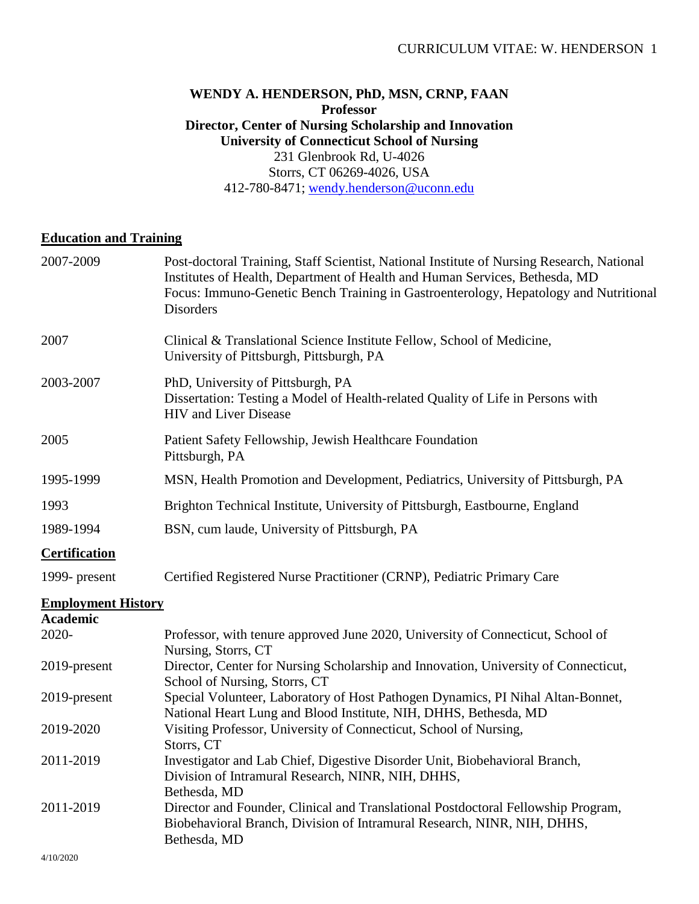### **WENDY A. HENDERSON, PhD, MSN, CRNP, FAAN Professor Director, Center of Nursing Scholarship and Innovation University of Connecticut School of Nursing** 231 Glenbrook Rd, U-4026 Storrs, CT 06269-4026, USA 412-780-8471; [wendy.henderson@uconn.edu](mailto:wendy.henderson@uconn.edu)

### **Education and Training**

| 2007-2009                 | Post-doctoral Training, Staff Scientist, National Institute of Nursing Research, National<br>Institutes of Health, Department of Health and Human Services, Bethesda, MD<br>Focus: Immuno-Genetic Bench Training in Gastroenterology, Hepatology and Nutritional<br><b>Disorders</b> |
|---------------------------|--------------------------------------------------------------------------------------------------------------------------------------------------------------------------------------------------------------------------------------------------------------------------------------|
| 2007                      | Clinical & Translational Science Institute Fellow, School of Medicine,<br>University of Pittsburgh, Pittsburgh, PA                                                                                                                                                                   |
| 2003-2007                 | PhD, University of Pittsburgh, PA<br>Dissertation: Testing a Model of Health-related Quality of Life in Persons with<br><b>HIV</b> and Liver Disease                                                                                                                                 |
| 2005                      | Patient Safety Fellowship, Jewish Healthcare Foundation<br>Pittsburgh, PA                                                                                                                                                                                                            |
| 1995-1999                 | MSN, Health Promotion and Development, Pediatrics, University of Pittsburgh, PA                                                                                                                                                                                                      |
| 1993                      | Brighton Technical Institute, University of Pittsburgh, Eastbourne, England                                                                                                                                                                                                          |
| 1989-1994                 | BSN, cum laude, University of Pittsburgh, PA                                                                                                                                                                                                                                         |
| <b>Certification</b>      |                                                                                                                                                                                                                                                                                      |
| 1999- present             | Certified Registered Nurse Practitioner (CRNP), Pediatric Primary Care                                                                                                                                                                                                               |
| <b>Employment History</b> |                                                                                                                                                                                                                                                                                      |
| <b>Academic</b>           |                                                                                                                                                                                                                                                                                      |
| 2020-                     | Professor, with tenure approved June 2020, University of Connecticut, School of<br>Nursing, Storrs, CT                                                                                                                                                                               |
| 2019-present              | Director, Center for Nursing Scholarship and Innovation, University of Connecticut,<br>School of Nursing, Storrs, CT                                                                                                                                                                 |
| 2019-present              | Special Volunteer, Laboratory of Host Pathogen Dynamics, PI Nihal Altan-Bonnet,<br>National Heart Lung and Blood Institute, NIH, DHHS, Bethesda, MD                                                                                                                                  |
| 2019-2020                 | Visiting Professor, University of Connecticut, School of Nursing,<br>Storrs, CT                                                                                                                                                                                                      |
| 2011-2019                 | Investigator and Lab Chief, Digestive Disorder Unit, Biobehavioral Branch,<br>Division of Intramural Research, NINR, NIH, DHHS,<br>Bethesda, MD                                                                                                                                      |
| 2011-2019                 | Director and Founder, Clinical and Translational Postdoctoral Fellowship Program,<br>Biobehavioral Branch, Division of Intramural Research, NINR, NIH, DHHS,<br>Bethesda, MD                                                                                                         |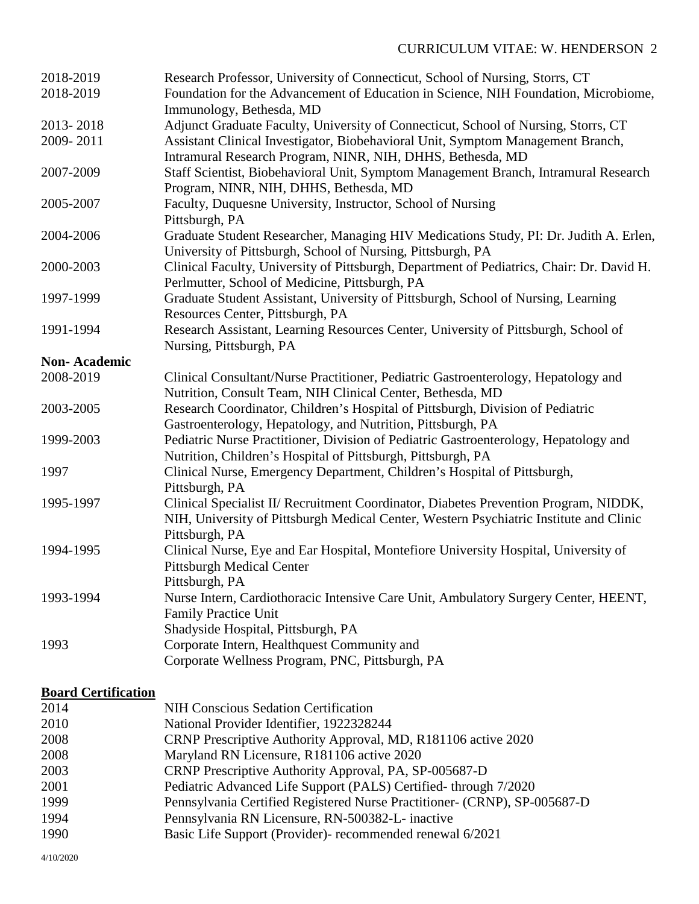| 2018-2019<br>2018-2019 | Research Professor, University of Connecticut, School of Nursing, Storrs, CT<br>Foundation for the Advancement of Education in Science, NIH Foundation, Microbiome,<br>Immunology, Bethesda, MD |
|------------------------|-------------------------------------------------------------------------------------------------------------------------------------------------------------------------------------------------|
| 2013-2018              | Adjunct Graduate Faculty, University of Connecticut, School of Nursing, Storrs, CT                                                                                                              |
| 2009-2011              | Assistant Clinical Investigator, Biobehavioral Unit, Symptom Management Branch,<br>Intramural Research Program, NINR, NIH, DHHS, Bethesda, MD                                                   |
| 2007-2009              | Staff Scientist, Biobehavioral Unit, Symptom Management Branch, Intramural Research<br>Program, NINR, NIH, DHHS, Bethesda, MD                                                                   |
| 2005-2007              | Faculty, Duquesne University, Instructor, School of Nursing                                                                                                                                     |
| 2004-2006              | Pittsburgh, PA<br>Graduate Student Researcher, Managing HIV Medications Study, PI: Dr. Judith A. Erlen,<br>University of Pittsburgh, School of Nursing, Pittsburgh, PA                          |
| 2000-2003              | Clinical Faculty, University of Pittsburgh, Department of Pediatrics, Chair: Dr. David H.<br>Perlmutter, School of Medicine, Pittsburgh, PA                                                     |
| 1997-1999              | Graduate Student Assistant, University of Pittsburgh, School of Nursing, Learning<br>Resources Center, Pittsburgh, PA                                                                           |
| 1991-1994              | Research Assistant, Learning Resources Center, University of Pittsburgh, School of<br>Nursing, Pittsburgh, PA                                                                                   |
| <b>Non-Academic</b>    |                                                                                                                                                                                                 |
| 2008-2019              | Clinical Consultant/Nurse Practitioner, Pediatric Gastroenterology, Hepatology and<br>Nutrition, Consult Team, NIH Clinical Center, Bethesda, MD                                                |
| 2003-2005              | Research Coordinator, Children's Hospital of Pittsburgh, Division of Pediatric<br>Gastroenterology, Hepatology, and Nutrition, Pittsburgh, PA                                                   |
| 1999-2003              | Pediatric Nurse Practitioner, Division of Pediatric Gastroenterology, Hepatology and<br>Nutrition, Children's Hospital of Pittsburgh, Pittsburgh, PA                                            |
| 1997                   | Clinical Nurse, Emergency Department, Children's Hospital of Pittsburgh,<br>Pittsburgh, PA                                                                                                      |
| 1995-1997              | Clinical Specialist II/ Recruitment Coordinator, Diabetes Prevention Program, NIDDK,<br>NIH, University of Pittsburgh Medical Center, Western Psychiatric Institute and Clinic                  |
| 1994-1995              | Pittsburgh, PA<br>Clinical Nurse, Eye and Ear Hospital, Montefiore University Hospital, University of<br><b>Pittsburgh Medical Center</b>                                                       |
| 1993-1994              | Pittsburgh, PA<br>Nurse Intern, Cardiothoracic Intensive Care Unit, Ambulatory Surgery Center, HEENT,<br><b>Family Practice Unit</b>                                                            |
|                        | Shadyside Hospital, Pittsburgh, PA                                                                                                                                                              |
| 1993                   | Corporate Intern, Healthquest Community and<br>Corporate Wellness Program, PNC, Pittsburgh, PA                                                                                                  |

## **Board Certification**

| 2014 | <b>NIH Conscious Sedation Certification</b>                               |
|------|---------------------------------------------------------------------------|
| 2010 | National Provider Identifier, 1922328244                                  |
| 2008 | CRNP Prescriptive Authority Approval, MD, R181106 active 2020             |
| 2008 | Maryland RN Licensure, R181106 active 2020                                |
| 2003 | CRNP Prescriptive Authority Approval, PA, SP-005687-D                     |
| 2001 | Pediatric Advanced Life Support (PALS) Certified-through 7/2020           |
| 1999 | Pennsylvania Certified Registered Nurse Practitioner- (CRNP), SP-005687-D |
| 1994 | Pennsylvania RN Licensure, RN-500382-L- inactive                          |
| 1990 | Basic Life Support (Provider)- recommended renewal 6/2021                 |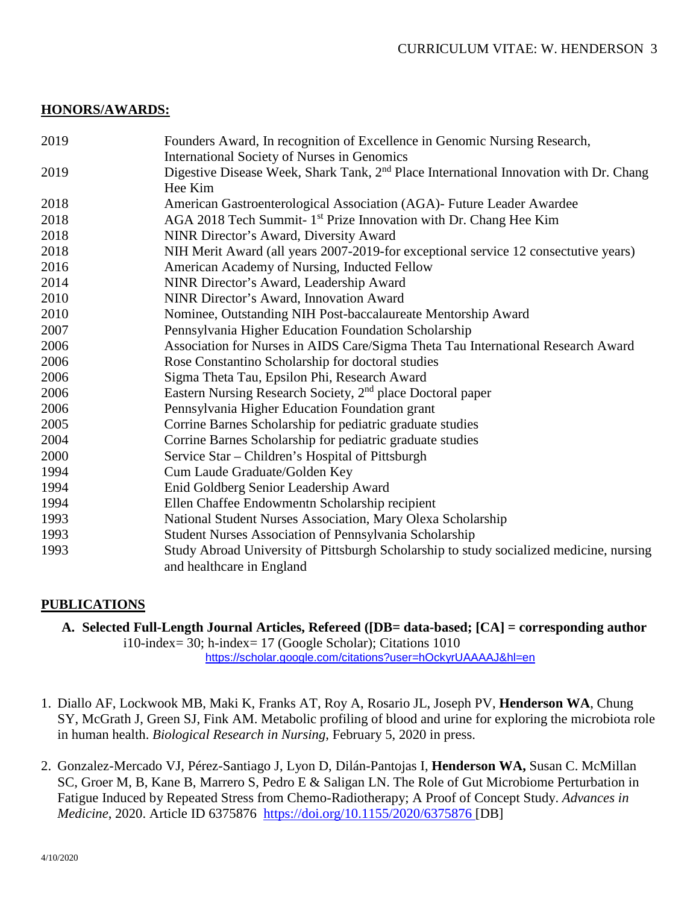### **HONORS/AWARDS:**

| 2019 | Founders Award, In recognition of Excellence in Genomic Nursing Research,                                            |  |  |  |
|------|----------------------------------------------------------------------------------------------------------------------|--|--|--|
|      | <b>International Society of Nurses in Genomics</b>                                                                   |  |  |  |
| 2019 | Digestive Disease Week, Shark Tank, 2 <sup>nd</sup> Place International Innovation with Dr. Chang<br>Hee Kim         |  |  |  |
| 2018 | American Gastroenterological Association (AGA)- Future Leader Awardee                                                |  |  |  |
| 2018 | AGA 2018 Tech Summit-1 <sup>st</sup> Prize Innovation with Dr. Chang Hee Kim                                         |  |  |  |
| 2018 | NINR Director's Award, Diversity Award                                                                               |  |  |  |
| 2018 | NIH Merit Award (all years 2007-2019-for exceptional service 12 consectutive years)                                  |  |  |  |
| 2016 | American Academy of Nursing, Inducted Fellow                                                                         |  |  |  |
| 2014 | NINR Director's Award, Leadership Award                                                                              |  |  |  |
| 2010 | NINR Director's Award, Innovation Award                                                                              |  |  |  |
| 2010 | Nominee, Outstanding NIH Post-baccalaureate Mentorship Award                                                         |  |  |  |
| 2007 | Pennsylvania Higher Education Foundation Scholarship                                                                 |  |  |  |
| 2006 | Association for Nurses in AIDS Care/Sigma Theta Tau International Research Award                                     |  |  |  |
| 2006 | Rose Constantino Scholarship for doctoral studies                                                                    |  |  |  |
| 2006 | Sigma Theta Tau, Epsilon Phi, Research Award                                                                         |  |  |  |
| 2006 | Eastern Nursing Research Society, 2 <sup>nd</sup> place Doctoral paper                                               |  |  |  |
| 2006 | Pennsylvania Higher Education Foundation grant                                                                       |  |  |  |
| 2005 | Corrine Barnes Scholarship for pediatric graduate studies                                                            |  |  |  |
| 2004 | Corrine Barnes Scholarship for pediatric graduate studies                                                            |  |  |  |
| 2000 | Service Star – Children's Hospital of Pittsburgh                                                                     |  |  |  |
| 1994 | Cum Laude Graduate/Golden Key                                                                                        |  |  |  |
| 1994 | Enid Goldberg Senior Leadership Award                                                                                |  |  |  |
| 1994 | Ellen Chaffee Endowmentn Scholarship recipient                                                                       |  |  |  |
| 1993 | National Student Nurses Association, Mary Olexa Scholarship                                                          |  |  |  |
| 1993 | Student Nurses Association of Pennsylvania Scholarship                                                               |  |  |  |
| 1993 | Study Abroad University of Pittsburgh Scholarship to study socialized medicine, nursing<br>and healthcare in England |  |  |  |

## **PUBLICATIONS**

**A. Selected Full-Length Journal Articles, Refereed ([DB= data-based; [CA] = corresponding author**

i10-index= 30; h-index= 17 (Google Scholar); Citations 1010 <https://scholar.google.com/citations?user=hOckyrUAAAAJ&hl=en>

- 1. Diallo AF, Lockwook MB, Maki K, Franks AT, Roy A, Rosario JL, Joseph PV, **Henderson WA**, Chung SY, McGrath J, Green SJ, Fink AM. Metabolic profiling of blood and urine for exploring the microbiota role in human health. *Biological Research in Nursing*, February 5, 2020 in press.
- 2. Gonzalez-Mercado VJ, Pérez-Santiago J, Lyon D, Dilán-Pantojas I, **Henderson WA,** Susan C. McMillan SC, Groer M, B, Kane B, Marrero S, Pedro E & Saligan LN. The Role of Gut Microbiome Perturbation in Fatigue Induced by Repeated Stress from Chemo-Radiotherapy; A Proof of Concept Study. *Advances in Medicine*, 2020. Article ID 6375876 <https://doi.org/10.1155/2020/6375876> [DB]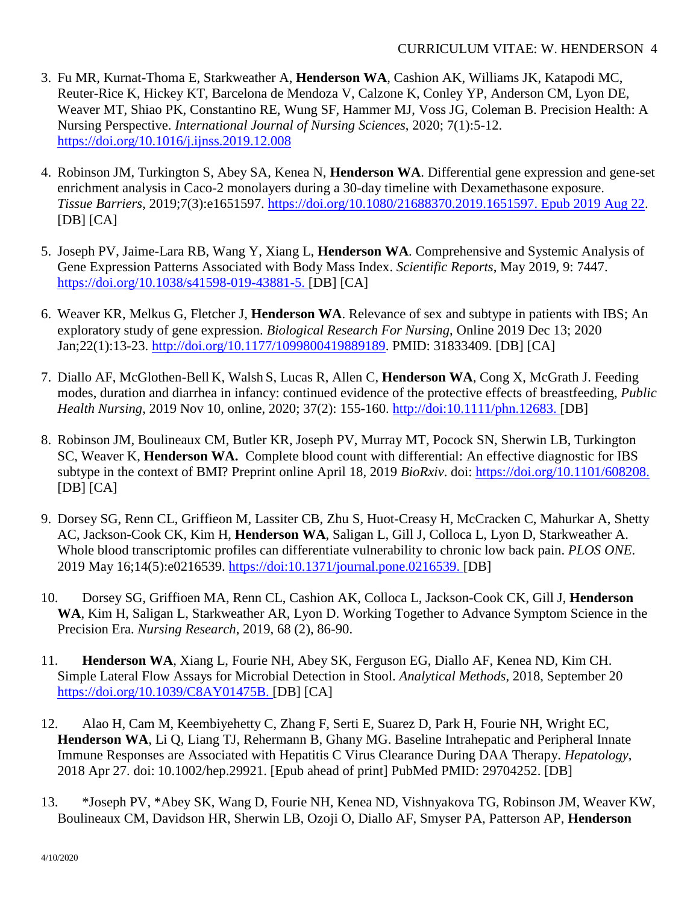- 3. Fu MR, Kurnat-Thoma E, Starkweather A, **Henderson WA**, Cashion AK, Williams JK, Katapodi MC, Reuter-Rice K, Hickey KT, Barcelona de Mendoza V, Calzone K, Conley YP, Anderson CM, Lyon DE, Weaver MT, Shiao PK, Constantino RE, Wung SF, Hammer MJ, Voss JG, Coleman B. Precision Health: A Nursing Perspective. *International Journal of Nursing Sciences*, 2020; 7(1):5-12. <https://doi.org/10.1016/j.ijnss.2019.12.008>
- 4. Robinson JM, Turkington S, Abey SA, Kenea N, **Henderson WA**. Differential gene expression and gene-set enrichment analysis in Caco-2 monolayers during a 30-day timeline with Dexamethasone exposure. *Tissue Barriers*, 2019;7(3):e1651597. [https://doi.org/10.1080/21688370.2019.1651597. Epub 2019 Aug 22.](https://doi.org/10.1080/21688370.2019.1651597.%20Epub%202019%20Aug%2022)  $[DB] [CA]$
- 5. Joseph PV, Jaime-Lara RB, Wang Y, Xiang L, **Henderson WA**. Comprehensive and Systemic Analysis of Gene Expression Patterns Associated with Body Mass Index. *Scientific Reports*, May 2019, 9: 7447. [https://doi.org/10.1038/s41598-019-43881-5.](https://doi.org/10.1038/s41598-019-43881-5) [DB] [CA]
- 6. Weaver KR, Melkus G, Fletcher J, **Henderson WA**. Relevance of sex and subtype in patients with IBS; An exploratory study of gene expression. *Biological Research For Nursing*, Online 2019 Dec 13; 2020 Jan;22(1):13-23. [http://doi.org/10.1177/1099800419889189.](http://doi.org/10.1177/1099800419889189) PMID: 31833409. [DB] [CA]
- 7. Diallo AF, McGlothen-Bell K, Walsh S, Lucas R, Allen C, **Henderson WA**, Cong X, McGrath J. Feeding modes, duration and diarrhea in infancy: continued evidence of the protective effects of breastfeeding, *Public Health Nursing*, 2019 Nov 10, online, 2020; 37(2): 155-160. [http://doi:10.1111/phn.12683.](http://doi:10.1111/phn.12683) [DB]
- 8. Robinson JM, Boulineaux CM, Butler KR, Joseph PV, Murray MT, Pocock SN, Sherwin LB, Turkington SC, Weaver K, **Henderson WA.** Complete blood count with differential: An effective diagnostic for IBS subtype in the context of BMI? Preprint online April 18, 2019 *BioRxiv*. doi: [https://doi.org/10.1101/608208.](https://doi.org/10.1101/608208)  $[DB] [CA]$
- 9. Dorsey SG, Renn CL, Griffieon M, Lassiter CB, Zhu S, Huot-Creasy H, McCracken C, Mahurkar A, Shetty AC, Jackson-Cook CK, Kim H, **Henderson WA**, Saligan L, Gill J, Colloca L, Lyon D, Starkweather A. Whole blood transcriptomic profiles can differentiate vulnerability to chronic low back pain. *PLOS ONE*. 2019 May 16;14(5):e0216539. [https://doi:10.1371/journal.pone.0216539.](https://doi:10.1371/journal.pone.0216539) [DB]
- 10. Dorsey SG, Griffioen MA, Renn CL, Cashion AK, Colloca L, Jackson-Cook CK, Gill J, **Henderson WA**, Kim H, Saligan L, Starkweather AR, Lyon D. Working Together to Advance Symptom Science in the Precision Era. *Nursing Research*, 2019, 68 (2), 86-90.
- 11. **Henderson WA**, Xiang L, Fourie NH, Abey SK, Ferguson EG, Diallo AF, Kenea ND, Kim CH. Simple Lateral Flow Assays for Microbial Detection in Stool. *Analytical Methods*, 2018, September 20 [https://doi.org/10.1039/C8AY01475B.](https://doi.org/10.1039/C8AY01475B) [DB] [CA]
- 12. Alao H, Cam M, Keembiyehetty C, Zhang F, Serti E, Suarez D, Park H, Fourie NH, Wright EC, **Henderson WA**, Li Q, Liang TJ, Rehermann B, Ghany MG. Baseline Intrahepatic and Peripheral Innate Immune Responses are Associated with Hepatitis C Virus Clearance During DAA Therapy. *Hepatology*, 2018 Apr 27. doi: 10.1002/hep.29921. [Epub ahead of print] PubMed PMID: 29704252. [DB]
- 13. \*Joseph PV, \*Abey SK, Wang D, Fourie NH, Kenea ND, Vishnyakova TG, Robinson JM, Weaver KW, Boulineaux CM, Davidson HR, Sherwin LB, Ozoji O, Diallo AF, Smyser PA, Patterson AP, **Henderson**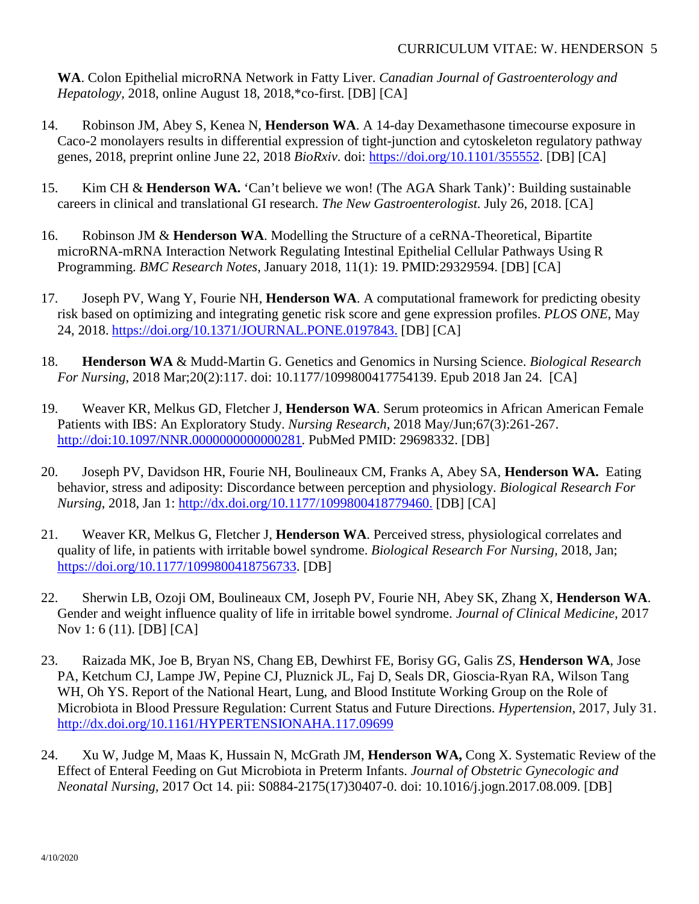**WA**. Colon Epithelial microRNA Network in Fatty Liver. *Canadian Journal of Gastroenterology and Hepatology,* 2018, online August 18, 2018,\*co-first. [DB] [CA]

- 14. Robinson JM, Abey S, Kenea N, **Henderson WA**. A 14-day Dexamethasone timecourse exposure in Caco-2 monolayers results in differential expression of tight-junction and cytoskeleton regulatory pathway genes, 2018, preprint online June 22, 2018 *BioRxiv*. doi: [https://doi.org/10.1101/355552.](https://doi.org/10.1101/355552) [DB] [CA]
- 15. Kim CH & **Henderson WA.** 'Can't believe we won! (The AGA Shark Tank)': Building sustainable careers in clinical and translational GI research. *The New Gastroenterologist.* July 26, 2018. [CA]
- 16. Robinson JM & **Henderson WA**. Modelling the Structure of a ceRNA-Theoretical, Bipartite microRNA-mRNA Interaction Network Regulating Intestinal Epithelial Cellular Pathways Using R Programming. *BMC Research Notes*, January 2018, 11(1): 19. PMID:29329594. [DB] [CA]
- 17. Joseph PV, Wang Y, Fourie NH, **Henderson WA**. A computational framework for predicting obesity risk based on optimizing and integrating genetic risk score and gene expression profiles. *PLOS ONE*, May 24, 2018. [https://doi.org/10.1371/JOURNAL.PONE.0197843.](https://doi.org/10.1371/JOURNAL.PONE.0197843) [DB] [CA]
- 18. **Henderson WA** & Mudd-Martin G. Genetics and Genomics in Nursing Science. *Biological Research For Nursing*, 2018 Mar;20(2):117. doi: 10.1177/1099800417754139. Epub 2018 Jan 24. [CA]
- 19. Weaver KR, Melkus GD, Fletcher J, **Henderson WA**. Serum proteomics in African American Female Patients with IBS: An Exploratory Study. *Nursing Research*, 2018 May/Jun;67(3):261-267. [http://doi:10.1097/NNR.0000000000000281.](http://doi:10.1097/NNR.0000000000000281) PubMed PMID: 29698332. [DB]
- 20. Joseph PV, Davidson HR, Fourie NH, Boulineaux CM, Franks A, Abey SA, **Henderson WA.** Eating behavior, stress and adiposity: Discordance between perception and physiology. *Biological Research For Nursing*, 2018, Jan 1: [http://dx.doi.org/10.1177/1099800418779460.](http://dx.doi.org/10.1177/1099800418779460) [DB] [CA]
- 21. Weaver KR, Melkus G, Fletcher J, **Henderson WA**. Perceived stress, physiological correlates and quality of life, in patients with irritable bowel syndrome. *Biological Research For Nursing,* 2018, Jan; [https://doi.org/10.1177/1099800418756733.](https://doi.org/10.1177%2F1099800418756733) [DB]
- 22. Sherwin LB, Ozoji OM, Boulineaux CM, Joseph PV, Fourie NH, Abey SK, Zhang X, **Henderson WA**. Gender and weight influence quality of life in irritable bowel syndrome. *Journal of Clinical Medicine*, 2017 Nov 1: 6 (11). [DB] [CA]
- 23. Raizada MK, Joe B, Bryan NS, Chang EB, Dewhirst FE, Borisy GG, Galis ZS, **Henderson WA**, Jose PA, Ketchum CJ, Lampe JW, Pepine CJ, Pluznick JL, Faj D, Seals DR, Gioscia-Ryan RA, Wilson Tang WH, Oh YS. Report of the National Heart, Lung, and Blood Institute Working Group on the Role of Microbiota in Blood Pressure Regulation: Current Status and Future Directions. *Hypertension*, 2017, July 31. <http://dx.doi.org/10.1161/HYPERTENSIONAHA.117.09699>
- 24. Xu W, Judge M, Maas K, Hussain N, McGrath JM, **Henderson WA,** Cong X. Systematic Review of the Effect of Enteral Feeding on Gut Microbiota in Preterm Infants. *Journal of Obstetric Gynecologic and Neonatal Nursing,* 2017 Oct 14. pii: S0884-2175(17)30407-0. doi: 10.1016/j.jogn.2017.08.009. [DB]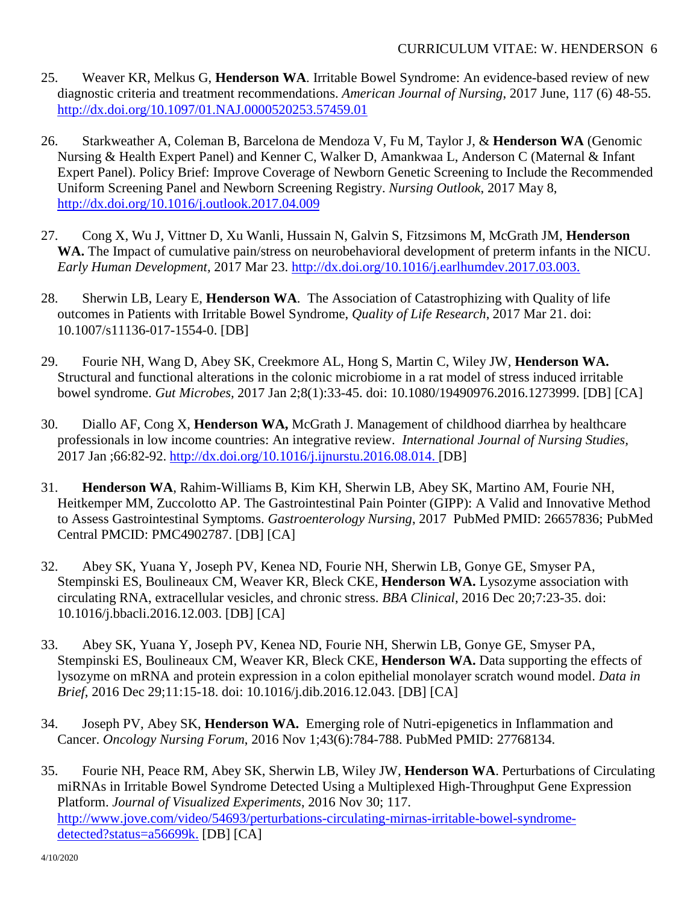- 25. Weaver KR, Melkus G, **Henderson WA**. Irritable Bowel Syndrome: An evidence-based review of new diagnostic criteria and treatment recommendations. *American Journal of Nursing*, 2017 June, 117 (6) 48-55. <http://dx.doi.org/10.1097/01.NAJ.0000520253.57459.01>
- 26. Starkweather A, Coleman B, Barcelona de Mendoza V, Fu M, Taylor J, & **Henderson WA** (Genomic Nursing & Health Expert Panel) and Kenner C, Walker D, Amankwaa L, Anderson C (Maternal & Infant Expert Panel). Policy Brief: Improve Coverage of Newborn Genetic Screening to Include the Recommended Uniform Screening Panel and Newborn Screening Registry. *Nursing Outlook*, 2017 May 8, <http://dx.doi.org/10.1016/j.outlook.2017.04.009>
- 27. Cong X, Wu J, Vittner D, Xu Wanli, Hussain N, Galvin S, Fitzsimons M, McGrath JM, **Henderson WA.** The Impact of cumulative pain/stress on neurobehavioral development of preterm infants in the NICU. *Early Human Development,* 2017 Mar 23. [http://dx.doi.org/10.1016/j.earlhumdev.2017.03.003.](http://dx.doi.org/10.1016/j.earlhumdev.2017.03.003)
- 28. Sherwin LB, Leary E, **Henderson WA**. The Association of Catastrophizing with Quality of life outcomes in Patients with Irritable Bowel Syndrome, *Quality of Life Research*, 2017 Mar 21. doi: 10.1007/s11136-017-1554-0. [DB]
- 29. Fourie NH, Wang D, Abey SK, Creekmore AL, Hong S, Martin C, Wiley JW, **Henderson WA.** Structural and functional alterations in the colonic microbiome in a rat model of stress induced irritable bowel syndrome. *Gut Microbes,* 2017 Jan 2;8(1):33-45. doi: 10.1080/19490976.2016.1273999. [DB] [CA]
- 30. Diallo AF, Cong X, **Henderson WA,** McGrath J. Management of childhood diarrhea by healthcare professionals in low income countries: An integrative review. *International Journal of Nursing Studies,*  2017 Jan ;66:82-92. [http://dx.doi.org/10.1016/j.ijnurstu.2016.08.014.](http://dx.doi.org/10.1016/j.ijnurstu.2016.08.014) [DB]
- 31. **Henderson WA**, Rahim-Williams B, Kim KH, Sherwin LB, Abey SK, Martino AM, Fourie NH, Heitkemper MM, Zuccolotto AP. The Gastrointestinal Pain Pointer (GIPP): A Valid and Innovative Method to Assess Gastrointestinal Symptoms. *Gastroenterology Nursing*, 2017 PubMed PMID: 26657836; PubMed Central PMCID: PMC4902787. [DB] [CA]
- 32. Abey SK, Yuana Y, Joseph PV, Kenea ND, Fourie NH, Sherwin LB, Gonye GE, Smyser PA, Stempinski ES, Boulineaux CM, Weaver KR, Bleck CKE, **Henderson WA.** Lysozyme association with circulating RNA, extracellular vesicles, and chronic stress. *BBA Clinical*, 2016 Dec 20;7:23-35. doi: 10.1016/j.bbacli.2016.12.003. [DB] [CA]
- 33. Abey SK, Yuana Y, Joseph PV, Kenea ND, Fourie NH, Sherwin LB, Gonye GE, Smyser PA, Stempinski ES, Boulineaux CM, Weaver KR, Bleck CKE, **Henderson WA.** Data supporting the effects of lysozyme on mRNA and protein expression in a colon epithelial monolayer scratch wound model. *Data in Brief*, 2016 Dec 29;11:15-18. doi: 10.1016/j.dib.2016.12.043. [DB] [CA]
- 34. Joseph PV, Abey SK, **Henderson WA.** Emerging role of Nutri-epigenetics in Inflammation and Cancer. *Oncology Nursing Forum*, 2016 Nov 1;43(6):784-788. PubMed PMID: 27768134.
- 35. Fourie NH, Peace RM, Abey SK, Sherwin LB, Wiley JW, **Henderson WA**. Perturbations of Circulating miRNAs in Irritable Bowel Syndrome Detected Using a Multiplexed High-Throughput Gene Expression Platform. *Journal of Visualized Experiments*, 2016 Nov 30; 117. [http://www.jove.com/video/54693/perturbations-circulating-mirnas-irritable-bowel-syndrome](http://www.jove.com/video/54693/perturbations-circulating-mirnas-irritable-bowel-syndrome-detected?status=a56699k)[detected?status=a56699k.](http://www.jove.com/video/54693/perturbations-circulating-mirnas-irritable-bowel-syndrome-detected?status=a56699k) [DB] [CA]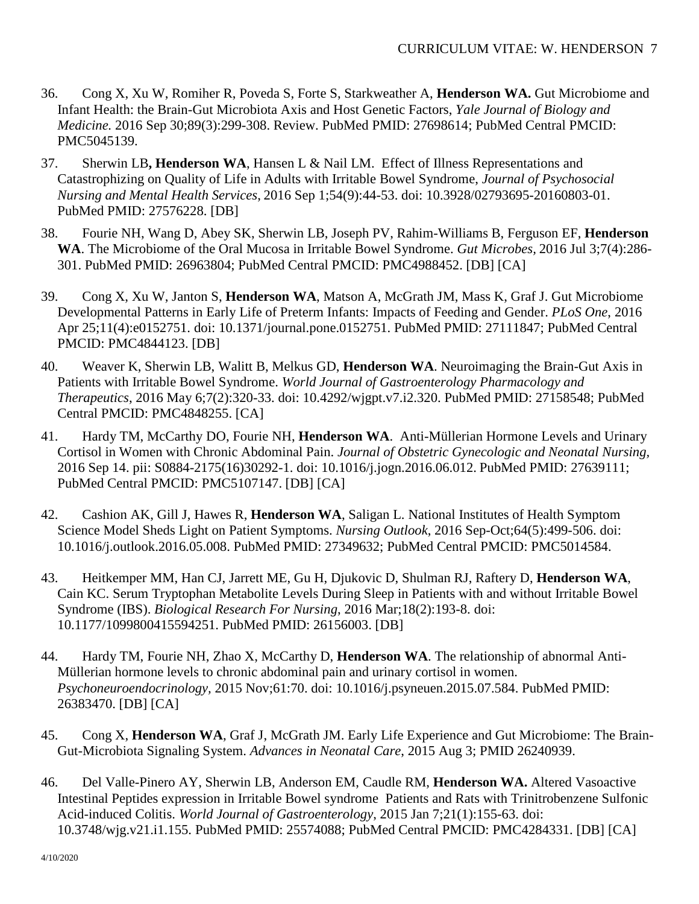- 36. Cong X, Xu W, Romiher R, Poveda S, Forte S, Starkweather A, **Henderson WA.** Gut Microbiome and Infant Health: the Brain-Gut Microbiota Axis and Host Genetic Factors, *Yale Journal of Biology and Medicine.* 2016 Sep 30;89(3):299-308. Review. PubMed PMID: 27698614; PubMed Central PMCID: PMC5045139.
- 37. Sherwin LB**, Henderson WA**, Hansen L & Nail LM. Effect of Illness Representations and Catastrophizing on Quality of Life in Adults with Irritable Bowel Syndrome, *Journal of Psychosocial Nursing and Mental Health Services*, 2016 Sep 1;54(9):44-53. doi: 10.3928/02793695-20160803-01. PubMed PMID: 27576228. [DB]
- 38. Fourie NH, Wang D, Abey SK, Sherwin LB, Joseph PV, Rahim-Williams B, Ferguson EF, **Henderson WA**. The Microbiome of the Oral Mucosa in Irritable Bowel Syndrome. *Gut Microbes,* 2016 Jul 3;7(4):286- 301. PubMed PMID: 26963804; PubMed Central PMCID: PMC4988452. [DB] [CA]
- 39. Cong X, Xu W, Janton S, **Henderson WA**, Matson A, McGrath JM, Mass K, Graf J. Gut Microbiome Developmental Patterns in Early Life of Preterm Infants: Impacts of Feeding and Gender. *PLoS One*, 2016 Apr 25;11(4):e0152751. doi: 10.1371/journal.pone.0152751. PubMed PMID: 27111847; PubMed Central PMCID: PMC4844123. [DB]
- 40. Weaver K, Sherwin LB, Walitt B, Melkus GD, **Henderson WA**. Neuroimaging the Brain-Gut Axis in Patients with Irritable Bowel Syndrome. *World Journal of Gastroenterology Pharmacology and Therapeutics*, 2016 May 6;7(2):320-33. doi: 10.4292/wjgpt.v7.i2.320. PubMed PMID: 27158548; PubMed Central PMCID: PMC4848255. [CA]
- 41. Hardy TM, McCarthy DO, Fourie NH, **Henderson WA**. Anti-Müllerian Hormone Levels and Urinary Cortisol in Women with Chronic Abdominal Pain. *Journal of Obstetric Gynecologic and Neonatal Nursing,* 2016 Sep 14. pii: S0884-2175(16)30292-1. doi: 10.1016/j.jogn.2016.06.012. PubMed PMID: 27639111; PubMed Central PMCID: PMC5107147. [DB] [CA]
- 42. Cashion AK, Gill J, Hawes R, **Henderson WA**, Saligan L. National Institutes of Health Symptom Science Model Sheds Light on Patient Symptoms. *Nursing Outlook*, 2016 Sep-Oct;64(5):499-506. doi: 10.1016/j.outlook.2016.05.008. PubMed PMID: 27349632; PubMed Central PMCID: PMC5014584.
- 43. Heitkemper MM, Han CJ, Jarrett ME, Gu H, Djukovic D, Shulman RJ, Raftery D, **Henderson WA**, Cain KC. Serum Tryptophan Metabolite Levels During Sleep in Patients with and without Irritable Bowel Syndrome (IBS). *Biological Research For Nursing*, 2016 Mar;18(2):193-8. doi: 10.1177/1099800415594251. PubMed PMID: 26156003. [DB]
- 44. Hardy TM, Fourie NH, Zhao X, McCarthy D, **Henderson WA**. The relationship of abnormal Anti-Müllerian hormone levels to chronic abdominal pain and urinary cortisol in women. *Psychoneuroendocrinology,* 2015 Nov;61:70. doi: 10.1016/j.psyneuen.2015.07.584. PubMed PMID: 26383470. [DB] [CA]
- 45. Cong X, **Henderson WA**, Graf J, McGrath JM. Early Life Experience and Gut Microbiome: The Brain-Gut-Microbiota Signaling System. *Advances in Neonatal Care*, 2015 Aug 3; PMID 26240939.
- 46. Del Valle-Pinero AY, Sherwin LB, Anderson EM, Caudle RM, **Henderson WA.** Altered Vasoactive Intestinal Peptides expression in Irritable Bowel syndrome Patients and Rats with Trinitrobenzene Sulfonic Acid-induced Colitis. *World Journal of Gastroenterology*, 2015 Jan 7;21(1):155-63. doi: 10.3748/wjg.v21.i1.155. PubMed PMID: 25574088; PubMed Central PMCID: PMC4284331. [DB] [CA]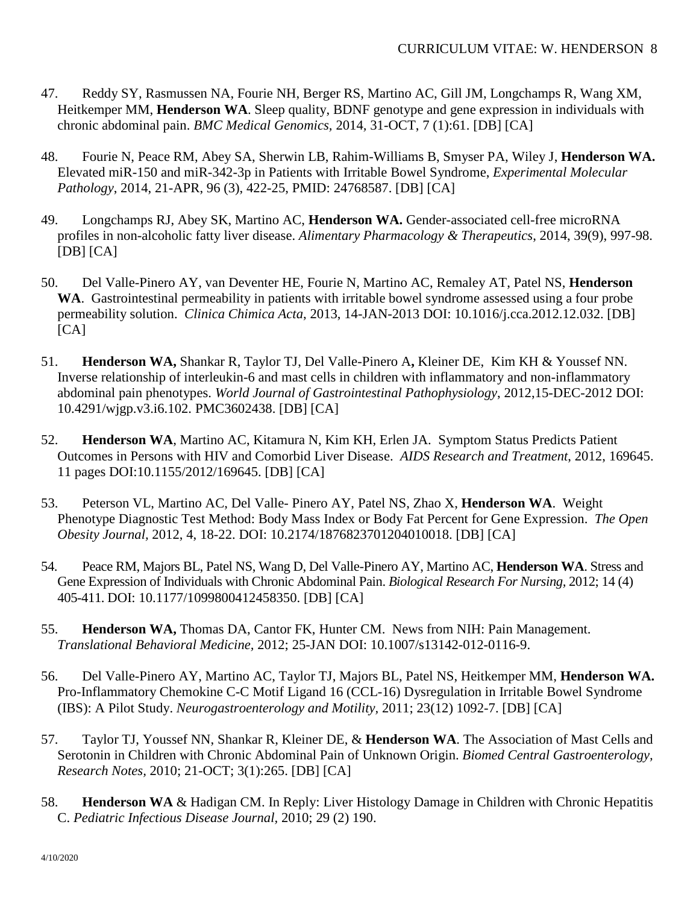- 47. Reddy SY, Rasmussen NA, Fourie NH, Berger RS, Martino AC, Gill JM, Longchamps R, Wang XM, Heitkemper MM, **Henderson WA**. Sleep quality, BDNF genotype and gene expression in individuals with chronic abdominal pain. *BMC Medical Genomics,* 2014*,* 31-OCT, 7 (1):61. [DB] [CA]
- 48. Fourie N, Peace RM, Abey SA, Sherwin LB, Rahim-Williams B, Smyser PA, Wiley J, **Henderson WA.**  Elevated miR-150 and miR-342-3p in Patients with Irritable Bowel Syndrome, *Experimental Molecular Pathology*, 2014, 21-APR, 96 (3), 422-25, PMID: 24768587. [DB] [CA]
- 49. Longchamps RJ, Abey SK, Martino AC, **Henderson WA.** Gender-associated cell-free microRNA profiles in non-alcoholic fatty liver disease. *Alimentary Pharmacology & Therapeutics*, 2014, 39(9), 997-98.  $[DB] [CA]$
- 50. Del Valle-Pinero AY, van Deventer HE, Fourie N, Martino AC, Remaley AT, Patel NS, **Henderson WA**. Gastrointestinal permeability in patients with irritable bowel syndrome assessed using a four probe permeability solution. *Clinica Chimica Acta*, 2013, 14-JAN-2013 DOI: 10.1016/j.cca.2012.12.032. [DB]  $[CA]$
- 51. **Henderson WA,** Shankar R, Taylor TJ, Del Valle-Pinero A**,** Kleiner DE, Kim KH & Youssef NN. Inverse relationship of interleukin-6 and mast cells in children with inflammatory and non-inflammatory abdominal pain phenotypes. *World Journal of Gastrointestinal Pathophysiology*, 2012,15-DEC-2012 DOI: [10.4291/wjgp.v3.i6.102.](http://dx.doi.org/10.4291%2Fwjgp.v3.i6.102) PMC3602438. [DB] [CA]
- 52. **Henderson WA**, Martino AC, Kitamura N, Kim KH, Erlen JA. Symptom Status Predicts Patient Outcomes in Persons with HIV and Comorbid Liver Disease. *AIDS Research and Treatment*, 2012, 169645. 11 pages DOI:10.1155/2012/169645. [DB] [CA]
- 53. Peterson VL, Martino AC, Del Valle- Pinero AY, Patel NS, Zhao X, **Henderson WA**. Weight Phenotype Diagnostic Test Method: Body Mass Index or Body Fat Percent for Gene Expression. *The Open Obesity Journal,* 2012, 4, 18-22. DOI: 10.2174/1876823701204010018. [DB] [CA]
- 54. Peace RM, Majors BL, Patel NS, Wang D, Del Valle-Pinero AY, Martino AC, **Henderson WA**. Stress and Gene Expression of Individuals with Chronic Abdominal Pain. *Biological Research For Nursing,* 2012; 14 (4) 405-411. [DOI: 10.1177/1099800412458350.](http://dx.doi.org/10.1177/1099800412458350) [DB] [CA]
- 55. **Henderson WA,** Thomas DA, Cantor FK, Hunter CM. News from NIH: Pain Management. *Translational Behavioral Medicine,* 2012; 25-JAN DOI: 10.1007/s13142-012-0116-9.
- 56. Del Valle-Pinero AY, Martino AC, Taylor TJ, Majors BL, Patel NS, Heitkemper MM, **Henderson WA.** Pro-Inflammatory Chemokine C-C Motif Ligand 16 (CCL-16) Dysregulation in Irritable Bowel Syndrome (IBS): A Pilot Study. *Neurogastroenterology and Motility,* 2011; 23(12) 1092-7. [DB] [CA]
- 57. Taylor TJ, Youssef NN, Shankar R, Kleiner DE, & **Henderson WA**. The Association of Mast Cells and Serotonin in Children with Chronic Abdominal Pain of Unknown Origin. *Biomed Central Gastroenterology, Research Notes,* 2010; 21-OCT; 3(1):265. [DB] [CA]
- 58. **Henderson WA** & Hadigan CM. In Reply: Liver Histology Damage in Children with Chronic Hepatitis C. *Pediatric Infectious Disease Journal,* 2010; 29 (2) 190.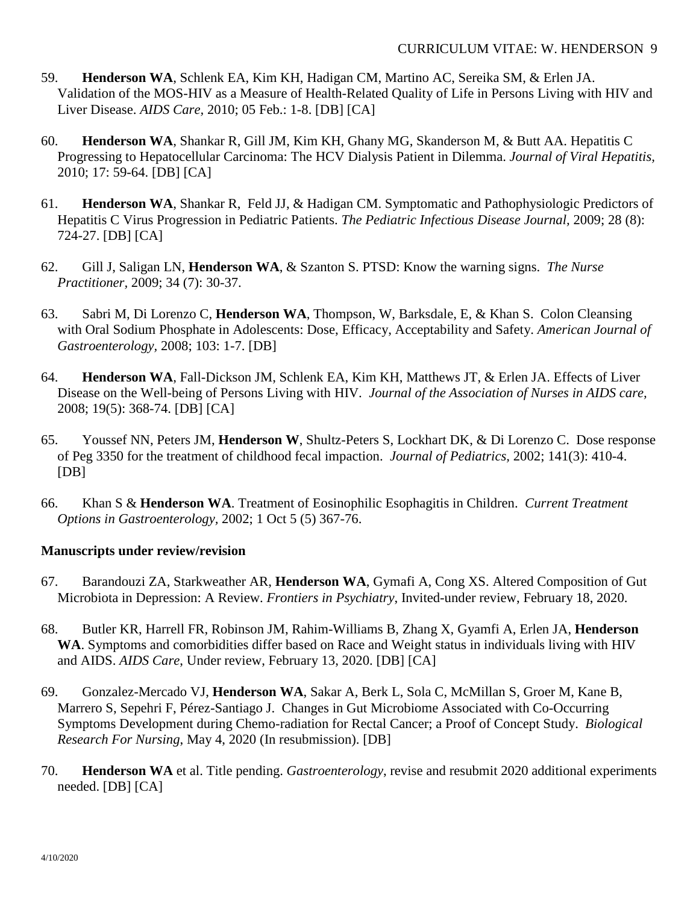- 59. **Henderson WA**, Schlenk EA, Kim KH, Hadigan CM, Martino AC, Sereika SM, & Erlen JA. Validation of the MOS-HIV as a Measure of Health-Related Quality of Life in Persons Living with HIV and Liver Disease. *AIDS Care,* 2010; 05 Feb.: 1-8. [DB] [CA]
- 60. **Henderson WA**, Shankar R, Gill JM, Kim KH, Ghany MG, Skanderson M, & Butt AA. Hepatitis C Progressing to Hepatocellular Carcinoma: The HCV Dialysis Patient in Dilemma. *Journal of Viral Hepatitis,* 2010; 17: 59-64. [DB] [CA]
- 61. **Henderson WA**, Shankar R, Feld JJ, & Hadigan CM. Symptomatic and Pathophysiologic Predictors of Hepatitis C Virus Progression in Pediatric Patients. *The Pediatric Infectious Disease Journal,* 2009; 28 (8): 724-27. [DB] [CA]
- 62. Gill J, Saligan LN, **Henderson WA**, & Szanton S. PTSD: Know the warning signs. *The Nurse Practitioner,* 2009; 34 (7): 30-37.
- 63. Sabri M, Di Lorenzo C, **Henderson WA**, Thompson, W, Barksdale, E, & Khan S. Colon Cleansing with Oral Sodium Phosphate in Adolescents: Dose, Efficacy, Acceptability and Safety. *American Journal of Gastroenterology,* 2008; 103: 1-7. [DB]
- 64. **Henderson WA**, Fall-Dickson JM, Schlenk EA, Kim KH, Matthews JT, & Erlen JA. Effects of Liver Disease on the Well-being of Persons Living with HIV. *Journal of the Association of Nurses in AIDS care,* 2008; 19(5): 368-74. [DB] [CA]
- 65. Youssef NN, Peters JM, **Henderson W**, Shultz-Peters S, Lockhart DK, & Di Lorenzo C. Dose response of Peg 3350 for the treatment of childhood fecal impaction. *Journal of Pediatrics,* 2002; 141(3): 410-4. [DB]
- 66. Khan S & **Henderson WA**. Treatment of Eosinophilic Esophagitis in Children. *Current Treatment Options in Gastroenterology,* 2002; 1 Oct 5 (5) 367-76.

## **Manuscripts under review/revision**

- 67. Barandouzi ZA, Starkweather AR, **Henderson WA**, Gymafi A, Cong XS. Altered Composition of Gut Microbiota in Depression: A Review. *Frontiers in Psychiatry*, Invited-under review, February 18, 2020.
- 68. Butler KR, Harrell FR, Robinson JM, Rahim-Williams B, Zhang X, Gyamfi A, Erlen JA, **Henderson WA**. Symptoms and comorbidities differ based on Race and Weight status in individuals living with HIV and AIDS. *AIDS Care*, Under review, February 13, 2020. [DB] [CA]
- 69. Gonzalez-Mercado VJ, **Henderson WA**, Sakar A, Berk L, Sola C, McMillan S, Groer M, Kane B, Marrero S, Sepehri F, Pérez-Santiago J. Changes in Gut Microbiome Associated with Co-Occurring Symptoms Development during Chemo-radiation for Rectal Cancer; a Proof of Concept Study. *Biological Research For Nursing*, May 4, 2020 (In resubmission). [DB]
- 70. **Henderson WA** et al. Title pending. *Gastroenterology*, revise and resubmit 2020 additional experiments needed. [DB] [CA]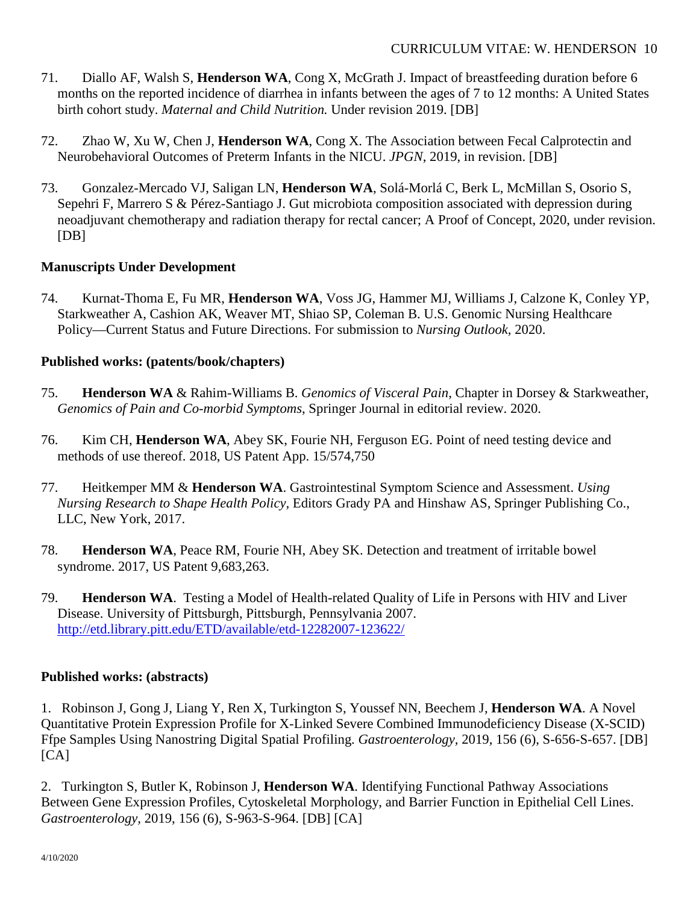- 71. Diallo AF, Walsh S, **Henderson WA**, Cong X, McGrath J. Impact of breastfeeding duration before 6 months on the reported incidence of diarrhea in infants between the ages of 7 to 12 months: A United States birth cohort study. *Maternal and Child Nutrition.* Under revision 2019. [DB]
- 72. Zhao W, Xu W, Chen J, **Henderson WA**, Cong X. The Association between Fecal Calprotectin and Neurobehavioral Outcomes of Preterm Infants in the NICU. *JPGN*, 2019, in revision. [DB]
- 73. Gonzalez-Mercado VJ, Saligan LN, **Henderson WA**, Solá-Morlá C, Berk L, McMillan S, Osorio S, Sepehri F, Marrero S & Pérez-Santiago J. Gut microbiota composition associated with depression during neoadjuvant chemotherapy and radiation therapy for rectal cancer; A Proof of Concept, 2020, under revision. [DB]

## **Manuscripts Under Development**

74. Kurnat-Thoma E, Fu MR, **Henderson WA**, Voss JG, Hammer MJ, Williams J, Calzone K, Conley YP, Starkweather A, Cashion AK, Weaver MT, Shiao SP, Coleman B. U.S. Genomic Nursing Healthcare Policy—Current Status and Future Directions. For submission to *Nursing Outlook,* 2020.

#### **Published works: (patents/book/chapters)**

- 75. **Henderson WA** & Rahim-Williams B. *Genomics of Visceral Pain*, Chapter in Dorsey & Starkweather, *Genomics of Pain and Co-morbid Symptoms*, Springer Journal in editorial review. 2020.
- 76. Kim CH, **Henderson WA**, Abey SK, Fourie NH, Ferguson EG. Point of need testing device and methods of use thereof. 2018, US Patent App. 15/574,750
- 77. Heitkemper MM & **Henderson WA**. Gastrointestinal Symptom Science and Assessment. *Using Nursing Research to Shape Health Policy,* Editors Grady PA and Hinshaw AS, Springer Publishing Co., LLC, New York, 2017.
- 78. **Henderson WA**, Peace RM, Fourie NH, Abey SK. Detection and treatment of irritable bowel syndrome. 2017, US Patent 9,683,263.
- 79. **Henderson WA**. Testing a Model of Health-related Quality of Life in Persons with HIV and Liver Disease. University of Pittsburgh, Pittsburgh, Pennsylvania 2007. <http://etd.library.pitt.edu/ETD/available/etd-12282007-123622/>

#### **Published works: (abstracts)**

1. Robinson J, Gong J, Liang Y, Ren X, Turkington S, Youssef NN, Beechem J, **Henderson WA**. A Novel Quantitative Protein Expression Profile for X-Linked Severe Combined Immunodeficiency Disease (X-SCID) Ffpe Samples Using Nanostring Digital Spatial Profiling. *Gastroenterology,* 2019, 156 (6), S-656-S-657. [DB]  $[CA]$ 

2. Turkington S, Butler K, Robinson J, **Henderson WA**. Identifying Functional Pathway Associations Between Gene Expression Profiles, Cytoskeletal Morphology, and Barrier Function in Epithelial Cell Lines. *Gastroenterology,* 2019, 156 (6), S-963-S-964. [DB] [CA]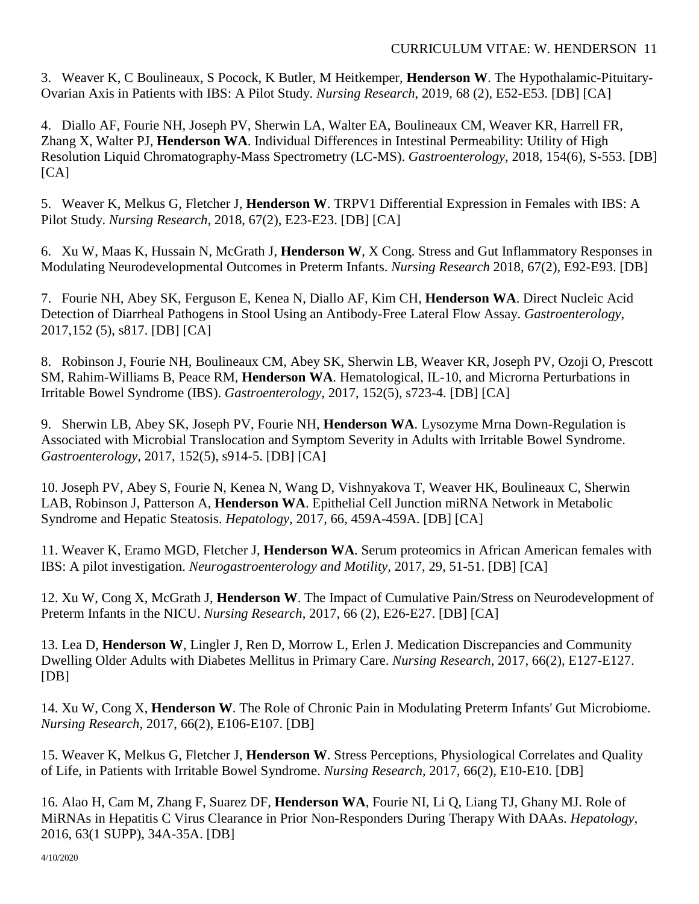3. Weaver K, C Boulineaux, S Pocock, K Butler, M Heitkemper, **Henderson W**. The Hypothalamic-Pituitary-Ovarian Axis in Patients with IBS: A Pilot Study. *Nursing Research*, 2019, 68 (2), E52-E53. [DB] [CA]

4. Diallo AF, Fourie NH, Joseph PV, Sherwin LA, Walter EA, Boulineaux CM, Weaver KR, Harrell FR, Zhang X, Walter PJ, **Henderson WA**. Individual Differences in Intestinal Permeability: Utility of High Resolution Liquid Chromatography-Mass Spectrometry (LC-MS). *Gastroenterology*, 2018, 154(6), S-553. [DB]  $[CA]$ 

5. Weaver K, Melkus G, Fletcher J, **Henderson W**. TRPV1 Differential Expression in Females with IBS: A Pilot Study. *Nursing Research,* 2018, 67(2), E23-E23. [DB] [CA]

6. Xu W, Maas K, Hussain N, McGrath J, **Henderson W**, X Cong. Stress and Gut Inflammatory Responses in Modulating Neurodevelopmental Outcomes in Preterm Infants. *Nursing Research* 2018, 67(2), E92-E93. [DB]

7. Fourie NH, Abey SK, Ferguson E, Kenea N, Diallo AF, Kim CH, **Henderson WA**. Direct Nucleic Acid Detection of Diarrheal Pathogens in Stool Using an Antibody-Free Lateral Flow Assay. *Gastroenterology*, 2017,152 (5), s817. [DB] [CA]

8. Robinson J, Fourie NH, Boulineaux CM, Abey SK, Sherwin LB, Weaver KR, Joseph PV, Ozoji O, Prescott SM, Rahim-Williams B, Peace RM, **Henderson WA**. Hematological, IL-10, and Microrna Perturbations in Irritable Bowel Syndrome (IBS). *Gastroenterology*, 2017, 152(5), s723-4. [DB] [CA]

9. Sherwin LB, Abey SK, Joseph PV, Fourie NH, **Henderson WA**. Lysozyme Mrna Down-Regulation is Associated with Microbial Translocation and Symptom Severity in Adults with Irritable Bowel Syndrome. *Gastroenterology*, 2017, 152(5), s914-5. [DB] [CA]

10. Joseph PV, Abey S, Fourie N, Kenea N, Wang D, Vishnyakova T, Weaver HK, Boulineaux C, Sherwin LAB, Robinson J, Patterson A, **Henderson WA**. Epithelial Cell Junction miRNA Network in Metabolic Syndrome and Hepatic Steatosis. *Hepatology,* 2017, 66, 459A-459A. [DB] [CA]

11. Weaver K, Eramo MGD, Fletcher J, **Henderson WA**. Serum proteomics in African American females with IBS: A pilot investigation. *Neurogastroenterology and Motility,* 2017, 29, 51-51. [DB] [CA]

12. Xu W, Cong X, McGrath J, **Henderson W**. The Impact of Cumulative Pain/Stress on Neurodevelopment of Preterm Infants in the NICU. *Nursing Research*, 2017, 66 (2), E26-E27. [DB] [CA]

13. Lea D, **Henderson W**, Lingler J, Ren D, Morrow L, Erlen J. Medication Discrepancies and Community Dwelling Older Adults with Diabetes Mellitus in Primary Care. *Nursing Research*, 2017, 66(2), E127-E127. [DB]

14. Xu W, Cong X, **Henderson W**. The Role of Chronic Pain in Modulating Preterm Infants' Gut Microbiome. *Nursing Research*, 2017, 66(2), E106-E107. [DB]

15. Weaver K, Melkus G, Fletcher J, **Henderson W**. Stress Perceptions, Physiological Correlates and Quality of Life, in Patients with Irritable Bowel Syndrome. *Nursing Research*, 2017, 66(2), E10-E10. [DB]

16. Alao H, Cam M, Zhang F, Suarez DF, **Henderson WA**, Fourie NI, Li Q, Liang TJ, Ghany MJ. Role of MiRNAs in Hepatitis C Virus Clearance in Prior Non-Responders During Therapy With DAAs. *Hepatology*, 2016, 63(1 SUPP), 34A-35A. [DB]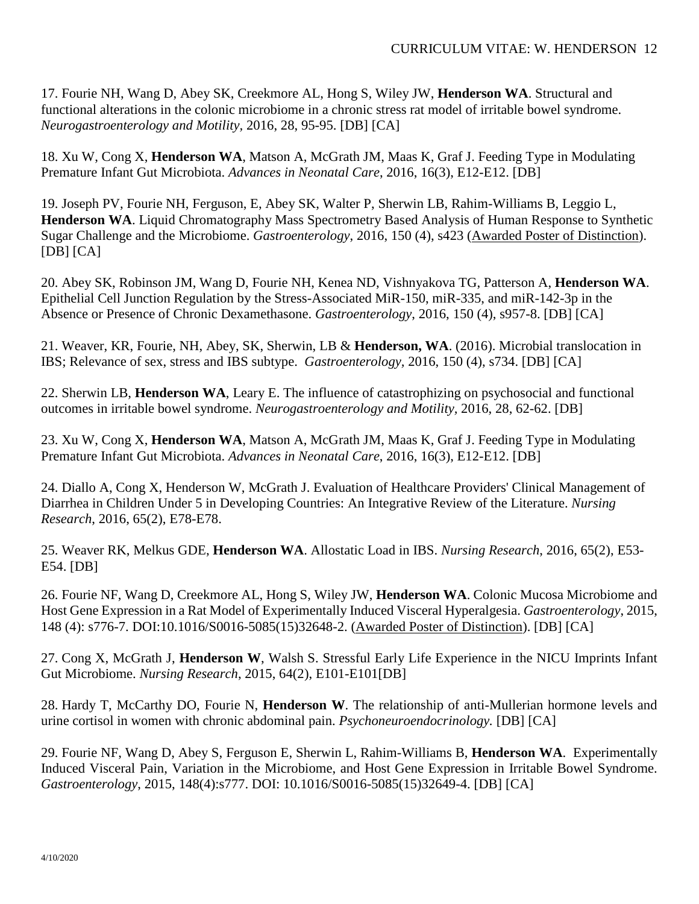17. Fourie NH, Wang D, Abey SK, Creekmore AL, Hong S, Wiley JW, **Henderson WA**. Structural and functional alterations in the colonic microbiome in a chronic stress rat model of irritable bowel syndrome. *Neurogastroenterology and Motility,* 2016, 28, 95-95. [DB] [CA]

18. Xu W, Cong X, **Henderson WA**, Matson A, McGrath JM, Maas K, Graf J. Feeding Type in Modulating Premature Infant Gut Microbiota. *Advances in Neonatal Care*, 2016, 16(3), E12-E12. [DB]

19. Joseph PV, Fourie NH, Ferguson, E, Abey SK, Walter P, Sherwin LB, Rahim-Williams B, Leggio L, **Henderson WA**. Liquid Chromatography Mass Spectrometry Based Analysis of Human Response to Synthetic Sugar Challenge and the Microbiome. *Gastroenterology*, 2016, 150 (4), s423 (Awarded Poster of Distinction).  $[DB] [CA]$ 

20. Abey SK, Robinson JM, Wang D, Fourie NH, Kenea ND, Vishnyakova TG, Patterson A, **Henderson WA**. Epithelial Cell Junction Regulation by the Stress-Associated MiR-150, miR-335, and miR-142-3p in the Absence or Presence of Chronic Dexamethasone. *Gastroenterology*, 2016, 150 (4), s957-8. [DB] [CA]

21. Weaver, KR, Fourie, NH, Abey, SK, Sherwin, LB & **Henderson, WA**. (2016). Microbial translocation in IBS; Relevance of sex, stress and IBS subtype. *Gastroenterology,* 2016, 150 (4), s734. [DB] [CA]

22. Sherwin LB, **Henderson WA**, Leary E. The influence of catastrophizing on psychosocial and functional outcomes in irritable bowel syndrome. *Neurogastroenterology and Motility,* 2016, 28, 62-62. [DB]

23. Xu W, Cong X, **Henderson WA**, Matson A, McGrath JM, Maas K, Graf J. Feeding Type in Modulating Premature Infant Gut Microbiota. *Advances in Neonatal Care*, 2016, 16(3), E12-E12. [DB]

24. Diallo A, Cong X, Henderson W, McGrath J. Evaluation of Healthcare Providers' Clinical Management of Diarrhea in Children Under 5 in Developing Countries: An Integrative Review of the Literature. *Nursing Research*, 2016, 65(2), E78-E78.

25. Weaver RK, Melkus GDE, **Henderson WA**. Allostatic Load in IBS. *Nursing Research*, 2016, 65(2), E53- E54. [DB]

26. Fourie NF, Wang D, Creekmore AL, Hong S, Wiley JW, **Henderson WA**. Colonic Mucosa Microbiome and Host Gene Expression in a Rat Model of Experimentally Induced Visceral Hyperalgesia. *Gastroenterology*, 2015, 148 (4): s776-7. DOI:10.1016/S0016-5085(15)32648-2. (Awarded Poster of Distinction). [DB] [CA]

27. Cong X, McGrath J, **Henderson W**, Walsh S. Stressful Early Life Experience in the NICU Imprints Infant Gut Microbiome. *Nursing Research*, 2015, 64(2), E101-E101[DB]

28. Hardy T, McCarthy DO, Fourie N, **Henderson W**. The relationship of anti-Mullerian hormone levels and urine cortisol in women with chronic abdominal pain. *Psychoneuroendocrinology.* [DB] [CA]

29. Fourie NF, Wang D, Abey S, Ferguson E, Sherwin L, Rahim-Williams B, **Henderson WA**. Experimentally Induced Visceral Pain, Variation in the Microbiome, and Host Gene Expression in Irritable Bowel Syndrome. *Gastroenterology*, 2015, 148(4):s777. DOI: 10.1016/S0016-5085(15)32649-4. [DB] [CA]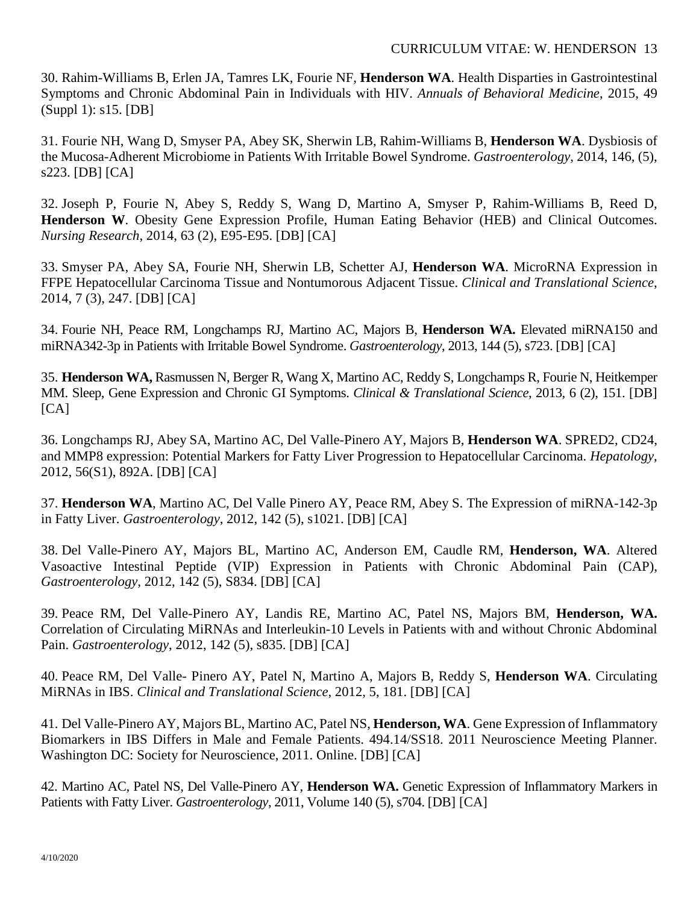30. Rahim-Williams B, Erlen JA, Tamres LK, Fourie NF, **Henderson WA**. Health Disparties in Gastrointestinal Symptoms and Chronic Abdominal Pain in Individuals with HIV. *Annuals of Behavioral Medicine*, 2015, 49 (Suppl 1): s15. [DB]

31. Fourie NH, Wang D, Smyser PA, Abey SK, Sherwin LB, Rahim-Williams B, **Henderson WA**. Dysbiosis of the Mucosa-Adherent Microbiome in Patients With Irritable Bowel Syndrome. *Gastroenterology*, 2014, 146, (5), s223. [DB] [CA]

32. Joseph P, Fourie N, Abey S, Reddy S, Wang D, Martino A, Smyser P, Rahim-Williams B, Reed D, **Henderson W**. Obesity Gene Expression Profile, Human Eating Behavior (HEB) and Clinical Outcomes. *Nursing Research*, 2014, 63 (2), E95-E95. [DB] [CA]

33. Smyser PA, Abey SA, Fourie NH, Sherwin LB, Schetter AJ, **Henderson WA**. MicroRNA Expression in FFPE Hepatocellular Carcinoma Tissue and Nontumorous Adjacent Tissue. *Clinical and Translational Science*, 2014, 7 (3), 247. [DB] [CA]

34. Fourie NH, Peace RM, Longchamps RJ, Martino AC, Majors B, **Henderson WA.** Elevated miRNA150 and miRNA342-3p in Patients with Irritable Bowel Syndrome. *Gastroenterology*, 2013, 144 (5), s723. [DB] [CA]

35. **Henderson WA,** Rasmussen N, Berger R, Wang X, Martino AC, Reddy S, Longchamps R, Fourie N, Heitkemper MM. Sleep, Gene Expression and Chronic GI Symptoms. *Clinical & Translational Science*, 2013, 6 (2), 151. [DB]  $[CA]$ 

36. Longchamps RJ, Abey SA, Martino AC, Del Valle-Pinero AY, Majors B, **Henderson WA**. SPRED2, CD24, and MMP8 expression: Potential Markers for Fatty Liver Progression to Hepatocellular Carcinoma. *Hepatology*, 2012, 56(S1), 892A. [DB] [CA]

37. **Henderson WA**, Martino AC, Del Valle Pinero AY, Peace RM, Abey S. The Expression of miRNA-142-3p in Fatty Liver. *Gastroenterology*, 2012, 142 (5), s1021. [DB] [CA]

38. Del Valle-Pinero AY, Majors BL, Martino AC, Anderson EM, Caudle RM, **Henderson, WA**. Altered Vasoactive Intestinal Peptide (VIP) Expression in Patients with Chronic Abdominal Pain (CAP), *Gastroenterology*, 2012, 142 (5), S834. [DB] [CA]

39. Peace RM, Del Valle-Pinero AY, Landis RE, Martino AC, Patel NS, Majors BM, **Henderson, WA.**  Correlation of Circulating MiRNAs and Interleukin-10 Levels in Patients with and without Chronic Abdominal Pain. *Gastroenterology*, 2012, 142 (5), s835. [DB] [CA]

40. Peace RM, Del Valle- Pinero AY, Patel N, Martino A, Majors B, Reddy S, **Henderson WA**. Circulating MiRNAs in IBS. *Clinical and Translational Science*, 2012, 5, 181. [DB] [CA]

41. Del Valle-Pinero AY, Majors BL, Martino AC, Patel NS, **Henderson, WA**. Gene Expression of Inflammatory Biomarkers in IBS Differs in Male and Female Patients. 494.14/SS18. 2011 Neuroscience Meeting Planner. Washington DC: Society for Neuroscience, 2011. Online. [DB] [CA]

42. Martino AC, Patel NS, Del Valle-Pinero AY, **Henderson WA.** Genetic Expression of Inflammatory Markers in Patients with Fatty Liver. *Gastroenterology*, 2011, Volume 140 (5), s704. [DB] [CA]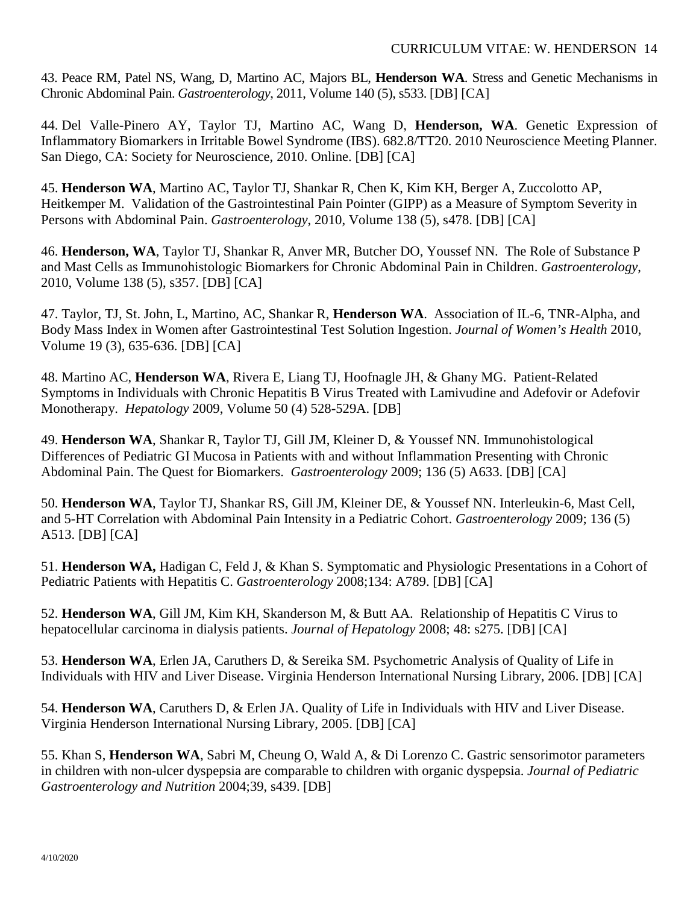43. Peace RM, Patel NS, Wang, D, Martino AC, Majors BL, **Henderson WA**. Stress and Genetic Mechanisms in Chronic Abdominal Pain. *Gastroenterology*, 2011, Volume 140 (5), s533. [DB] [CA]

44. Del Valle-Pinero AY, Taylor TJ, Martino AC, Wang D, **Henderson, WA**. Genetic Expression of Inflammatory Biomarkers in Irritable Bowel Syndrome (IBS). 682.8/TT20. 2010 Neuroscience Meeting Planner. San Diego, CA: Society for Neuroscience, 2010. Online. [DB] [CA]

45. **Henderson WA**, Martino AC, Taylor TJ, Shankar R, Chen K, Kim KH, Berger A, Zuccolotto AP, Heitkemper M. Validation of the Gastrointestinal Pain Pointer (GIPP) as a Measure of Symptom Severity in Persons with Abdominal Pain. *Gastroenterology*, 2010, Volume 138 (5), s478. [DB] [CA]

46. **Henderson, WA**, Taylor TJ, Shankar R, Anver MR, Butcher DO, Youssef NN. The Role of Substance P and Mast Cells as Immunohistologic Biomarkers for Chronic Abdominal Pain in Children. *Gastroenterology*, 2010, Volume 138 (5), s357. [DB] [CA]

47. Taylor, TJ, St. John, L, Martino, AC, Shankar R, **Henderson WA**. Association of IL-6, TNR-Alpha, and Body Mass Index in Women after Gastrointestinal Test Solution Ingestion. *Journal of Women's Health* 2010, Volume 19 (3), 635-636. [DB] [CA]

48. Martino AC, **Henderson WA**, Rivera E, Liang TJ, Hoofnagle JH, & Ghany MG. Patient-Related Symptoms in Individuals with Chronic Hepatitis B Virus Treated with Lamivudine and Adefovir or Adefovir Monotherapy. *Hepatology* 2009, Volume 50 (4) 528-529A. [DB]

49. **Henderson WA**, Shankar R, Taylor TJ, Gill JM, Kleiner D, & Youssef NN. Immunohistological Differences of Pediatric GI Mucosa in Patients with and without Inflammation Presenting with Chronic Abdominal Pain. The Quest for Biomarkers. *Gastroenterology* 2009; 136 (5) A633. [DB] [CA]

50. **Henderson WA**, Taylor TJ, Shankar RS, Gill JM, Kleiner DE, & Youssef NN. Interleukin-6, Mast Cell, and 5-HT Correlation with Abdominal Pain Intensity in a Pediatric Cohort. *Gastroenterology* 2009; 136 (5) A513. [DB] [CA]

51. **Henderson WA,** Hadigan C, Feld J, & Khan S. Symptomatic and Physiologic Presentations in a Cohort of Pediatric Patients with Hepatitis C. *Gastroenterology* 2008;134: A789. [DB] [CA]

52. **Henderson WA**, Gill JM, Kim KH, Skanderson M, & Butt AA. Relationship of Hepatitis C Virus to hepatocellular carcinoma in dialysis patients. *Journal of Hepatology* 2008; 48: s275. [DB] [CA]

53. **Henderson WA**, Erlen JA, Caruthers D, & Sereika SM. Psychometric Analysis of Quality of Life in Individuals with HIV and Liver Disease. Virginia Henderson International Nursing Library, 2006. [DB] [CA]

54. **Henderson WA**, Caruthers D, & Erlen JA. Quality of Life in Individuals with HIV and Liver Disease. Virginia Henderson International Nursing Library, 2005. [DB] [CA]

55. Khan S, **Henderson WA**, Sabri M, Cheung O, Wald A, & Di Lorenzo C. Gastric sensorimotor parameters in children with non-ulcer dyspepsia are comparable to children with organic dyspepsia. *Journal of Pediatric Gastroenterology and Nutrition* 2004;39, s439. [DB]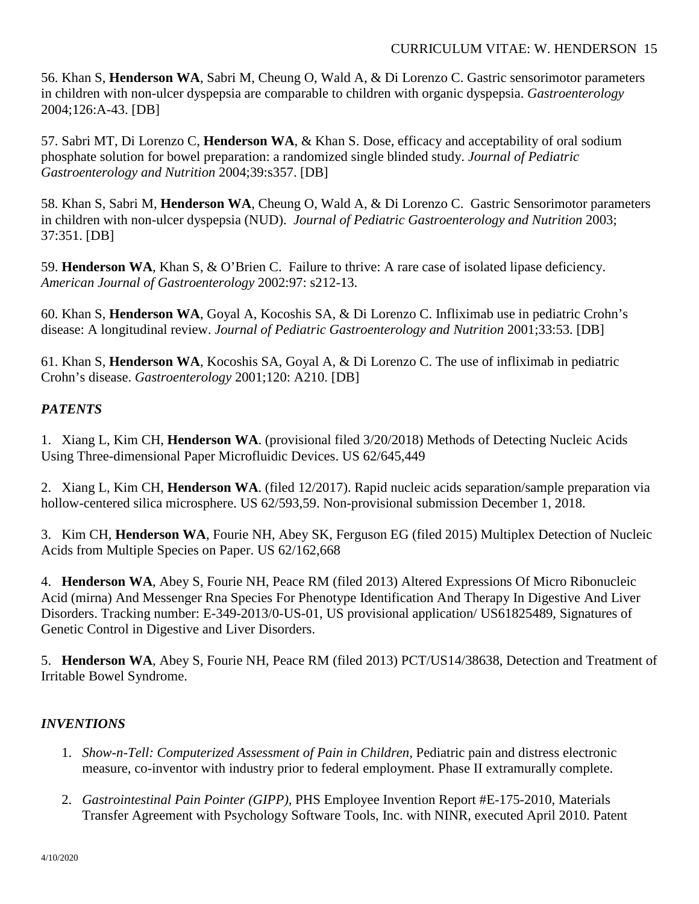56. Khan S, **Henderson WA**, Sabri M, Cheung O, Wald A, & Di Lorenzo C. Gastric sensorimotor parameters in children with non-ulcer dyspepsia are comparable to children with organic dyspepsia. *Gastroenterology* 2004;126:A-43. [DB]

57. Sabri MT, Di Lorenzo C, **Henderson WA**, & Khan S. Dose, efficacy and acceptability of oral sodium phosphate solution for bowel preparation: a randomized single blinded study. *Journal of Pediatric Gastroenterology and Nutrition* 2004;39:s357. [DB]

58. Khan S, Sabri M, **Henderson WA**, Cheung O, Wald A, & Di Lorenzo C. Gastric Sensorimotor parameters in children with non-ulcer dyspepsia (NUD). *Journal of Pediatric Gastroenterology and Nutrition* 2003; 37:351. [DB]

59. **Henderson WA**, Khan S, & O'Brien C. Failure to thrive: A rare case of isolated lipase deficiency. *American Journal of Gastroenterology* 2002:97: s212-13.

60. Khan S, **Henderson WA**, Goyal A, Kocoshis SA, & Di Lorenzo C. Infliximab use in pediatric Crohn's disease: A longitudinal review. *Journal of Pediatric Gastroenterology and Nutrition* 2001;33:53. [DB]

61. Khan S, **Henderson WA**, Kocoshis SA, Goyal A, & Di Lorenzo C. The use of infliximab in pediatric Crohn's disease. *Gastroenterology* 2001;120: A210. [DB]

## *PATENTS*

1. Xiang L, Kim CH, **Henderson WA**. (provisional filed 3/20/2018) Methods of Detecting Nucleic Acids Using Three-dimensional Paper Microfluidic Devices. US 62/645,449

2. Xiang L, Kim CH, **Henderson WA**. (filed 12/2017). Rapid nucleic acids separation/sample preparation via hollow-centered silica microsphere. US 62/593,59. Non-provisional submission December 1, 2018.

3. Kim CH, **Henderson WA**, Fourie NH, Abey SK, Ferguson EG (filed 2015) Multiplex Detection of Nucleic Acids from Multiple Species on Paper. US 62/162,668

4. **Henderson WA**, Abey S, Fourie NH, Peace RM (filed 2013) Altered Expressions Of Micro Ribonucleic Acid (mirna) And Messenger Rna Species For Phenotype Identification And Therapy In Digestive And Liver Disorders. Tracking number: E-349-2013/0-US-01, US provisional application/ US61825489, Signatures of Genetic Control in Digestive and Liver Disorders.

5. **Henderson WA**, Abey S, Fourie NH, Peace RM (filed 2013) PCT/US14/38638, Detection and Treatment of Irritable Bowel Syndrome.

## *INVENTIONS*

- 1. *Show-n-Tell: Computerized Assessment of Pain in Children,* Pediatric pain and distress electronic measure, co-inventor with industry prior to federal employment. Phase II extramurally complete.
- 2. *Gastrointestinal Pain Pointer (GIPP),* PHS Employee Invention Report #E-175-2010, Materials Transfer Agreement with Psychology Software Tools, Inc. with NINR, executed April 2010. Patent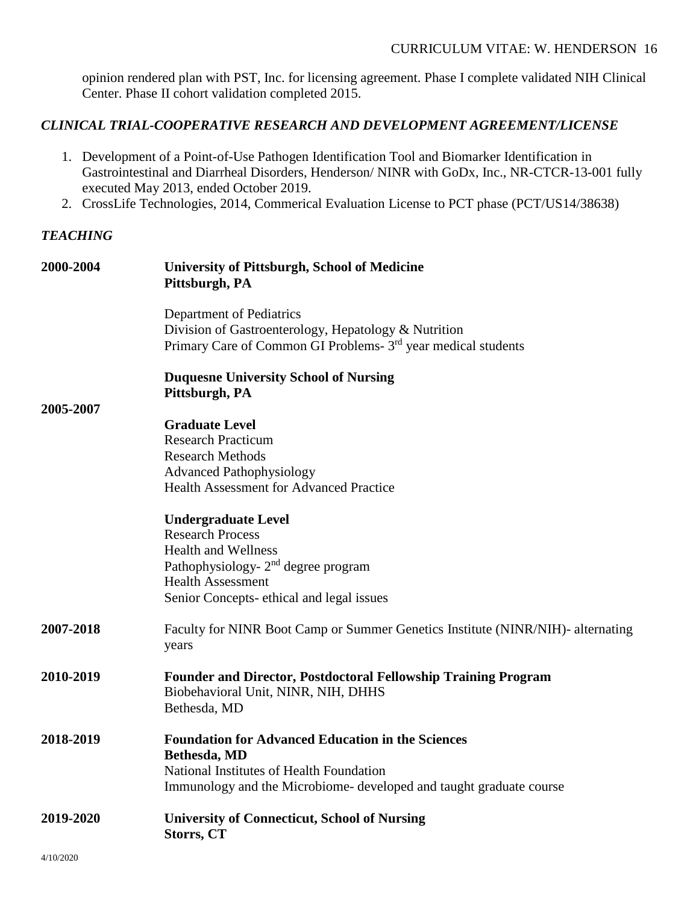opinion rendered plan with PST, Inc. for licensing agreement. Phase I complete validated NIH Clinical Center. Phase II cohort validation completed 2015.

## *CLINICAL TRIAL-COOPERATIVE RESEARCH AND DEVELOPMENT AGREEMENT/LICENSE*

- 1. Development of a Point-of-Use Pathogen Identification Tool and Biomarker Identification in Gastrointestinal and Diarrheal Disorders, Henderson/ NINR with GoDx, Inc., NR-CTCR-13-001 fully executed May 2013, ended October 2019.
- 2. CrossLife Technologies, 2014, Commerical Evaluation License to PCT phase (PCT/US14/38638)

## *TEACHING*

| 2000-2004 | <b>University of Pittsburgh, School of Medicine</b><br>Pittsburgh, PA                                                                                                                       |
|-----------|---------------------------------------------------------------------------------------------------------------------------------------------------------------------------------------------|
|           | Department of Pediatrics<br>Division of Gastroenterology, Hepatology & Nutrition<br>Primary Care of Common GI Problems- 3 <sup>rd</sup> year medical students                               |
|           | <b>Duquesne University School of Nursing</b><br>Pittsburgh, PA                                                                                                                              |
| 2005-2007 |                                                                                                                                                                                             |
|           | <b>Graduate Level</b>                                                                                                                                                                       |
|           | <b>Research Practicum</b>                                                                                                                                                                   |
|           | <b>Research Methods</b>                                                                                                                                                                     |
|           | <b>Advanced Pathophysiology</b><br><b>Health Assessment for Advanced Practice</b>                                                                                                           |
|           |                                                                                                                                                                                             |
|           | <b>Undergraduate Level</b>                                                                                                                                                                  |
|           | <b>Research Process</b>                                                                                                                                                                     |
|           | <b>Health and Wellness</b>                                                                                                                                                                  |
|           | Pathophysiology- $2nd$ degree program                                                                                                                                                       |
|           | <b>Health Assessment</b>                                                                                                                                                                    |
|           | Senior Concepts-ethical and legal issues                                                                                                                                                    |
| 2007-2018 | Faculty for NINR Boot Camp or Summer Genetics Institute (NINR/NIH)- alternating<br>years                                                                                                    |
| 2010-2019 | <b>Founder and Director, Postdoctoral Fellowship Training Program</b><br>Biobehavioral Unit, NINR, NIH, DHHS<br>Bethesda, MD                                                                |
| 2018-2019 | <b>Foundation for Advanced Education in the Sciences</b><br>Bethesda, MD<br>National Institutes of Health Foundation<br>Immunology and the Microbiome- developed and taught graduate course |
|           |                                                                                                                                                                                             |
| 2019-2020 | <b>University of Connecticut, School of Nursing</b><br><b>Storrs, CT</b>                                                                                                                    |
| 4/10/2020 |                                                                                                                                                                                             |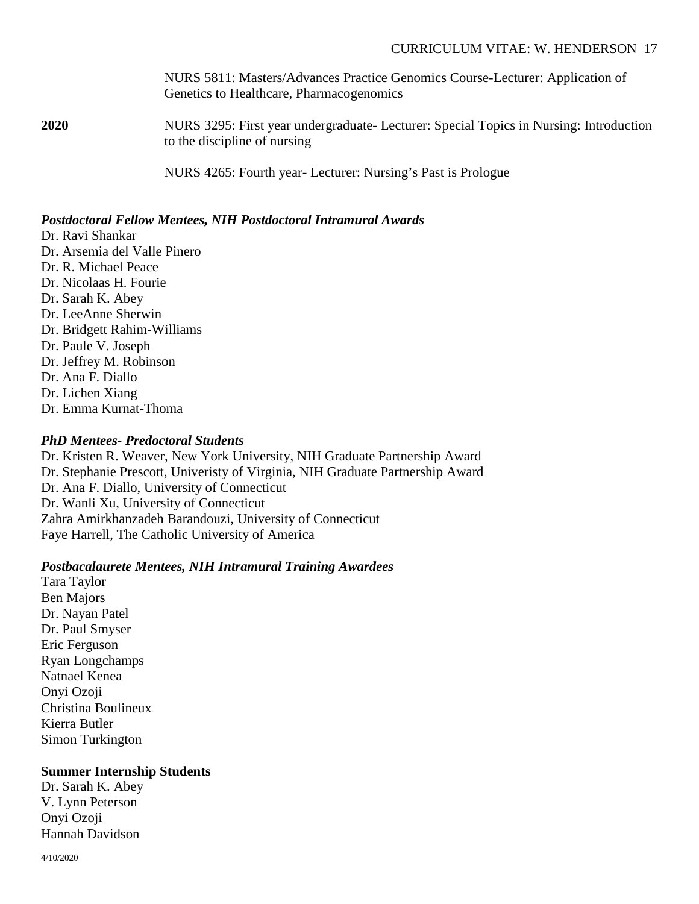NURS 5811: Masters/Advances Practice Genomics Course-Lecturer: Application of Genetics to Healthcare, Pharmacogenomics

**2020** NURS 3295: First year undergraduate- Lecturer: Special Topics in Nursing: Introduction to the discipline of nursing

NURS 4265: Fourth year- Lecturer: Nursing's Past is Prologue

## *Postdoctoral Fellow Mentees, NIH Postdoctoral Intramural Awards*

Dr. Ravi Shankar Dr. Arsemia del Valle Pinero Dr. R. Michael Peace Dr. Nicolaas H. Fourie Dr. Sarah K. Abey Dr. LeeAnne Sherwin Dr. Bridgett Rahim-Williams Dr. Paule V. Joseph Dr. Jeffrey M. Robinson Dr. Ana F. Diallo Dr. Lichen Xiang Dr. Emma Kurnat-Thoma

## *PhD Mentees- Predoctoral Students*

Dr. Kristen R. Weaver, New York University, NIH Graduate Partnership Award Dr. Stephanie Prescott, Univeristy of Virginia, NIH Graduate Partnership Award Dr. Ana F. Diallo, University of Connecticut Dr. Wanli Xu, University of Connecticut Zahra Amirkhanzadeh Barandouzi, University of Connecticut Faye Harrell, The Catholic University of America

## *Postbacalaurete Mentees, NIH Intramural Training Awardees*

Tara Taylor Ben Majors Dr. Nayan Patel Dr. Paul Smyser Eric Ferguson Ryan Longchamps Natnael Kenea Onyi Ozoji Christina Boulineux Kierra Butler Simon Turkington

## **Summer Internship Students**

Dr. Sarah K. Abey V. Lynn Peterson Onyi Ozoji Hannah Davidson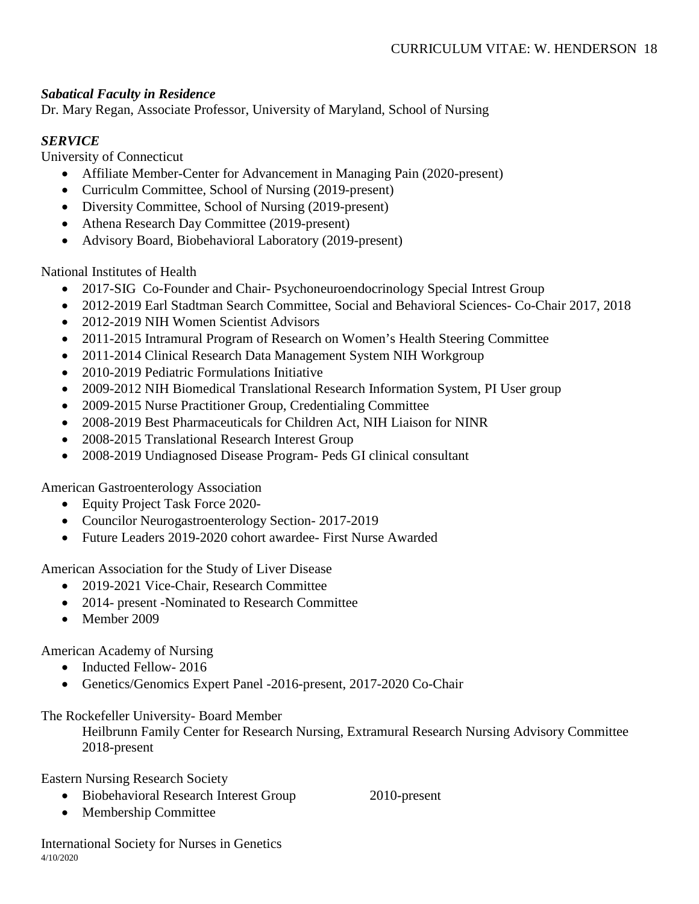## *Sabatical Faculty in Residence*

Dr. Mary Regan, Associate Professor, University of Maryland, School of Nursing

## *SERVICE*

University of Connecticut

- Affiliate Member-Center for Advancement in Managing Pain (2020-present)
- Curriculm Committee, School of Nursing (2019-present)
- Diversity Committee, School of Nursing (2019-present)
- Athena Research Day Committee (2019-present)
- Advisory Board, Biobehavioral Laboratory (2019-present)

National Institutes of Health

- 2017-SIG Co-Founder and Chair-Psychoneuroendocrinology Special Intrest Group
- 2012-2019 Earl Stadtman Search Committee, Social and Behavioral Sciences- Co-Chair 2017, 2018
- 2012-2019 NIH Women Scientist Advisors
- 2011-2015 Intramural Program of Research on Women's Health Steering Committee
- 2011-2014 Clinical Research Data Management System NIH Workgroup
- 2010-2019 Pediatric Formulations Initiative
- 2009-2012 NIH Biomedical Translational Research Information System, PI User group
- 2009-2015 Nurse Practitioner Group, Credentialing Committee
- 2008-2019 Best Pharmaceuticals for Children Act, NIH Liaison for NINR
- 2008-2015 Translational Research Interest Group
- 2008-2019 Undiagnosed Disease Program- Peds GI clinical consultant

American Gastroenterology Association

- Equity Project Task Force 2020-
- Councilor Neurogastroenterology Section- 2017-2019
- Future Leaders 2019-2020 cohort awardee- First Nurse Awarded

American Association for the Study of Liver Disease

- 2019-2021 Vice-Chair, Research Committee
- 2014- present -Nominated to Research Committee
- Member 2009

American Academy of Nursing

- Inducted Fellow-2016
- Genetics/Genomics Expert Panel -2016-present, 2017-2020 Co-Chair

## The Rockefeller University- Board Member

Heilbrunn Family Center for Research Nursing, Extramural Research Nursing Advisory Committee 2018-present

Eastern Nursing Research Society

• Biobehavioral Research Interest Group 2010-present

• Membership Committee

4/10/2020 International Society for Nurses in Genetics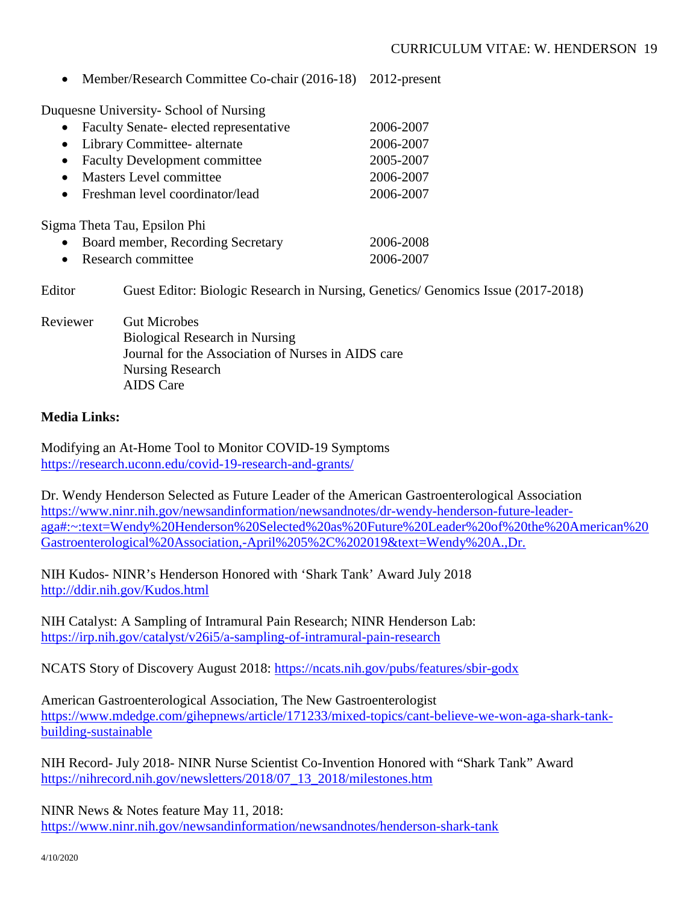• Member/Research Committee Co-chair (2016-18) 2012-present

Duquesne University- School of Nursing

| $\bullet$ | Faculty Senate-elected representative | 2006-2007 |
|-----------|---------------------------------------|-----------|
|           | Library Committee- alternate          | 2006-2007 |
|           | <b>Faculty Development committee</b>  | 2005-2007 |
| $\bullet$ | <b>Masters Level committee</b>        | 2006-2007 |
| $\bullet$ | Freshman level coordinator/lead       | 2006-2007 |
|           | Sigma Theta Tau, Epsilon Phi          |           |
|           | Board member, Recording Secretary     | 2006-2008 |
|           | Research committee                    | 2006-2007 |

Editor Guest Editor: Biologic Research in Nursing, Genetics/ Genomics Issue (2017-2018)

Reviewer Gut Microbes Biological Research in Nursing Journal for the Association of Nurses in AIDS care Nursing Research AIDS Care

#### **Media Links:**

Modifying an At-Home Tool to Monitor COVID-19 Symptoms <https://research.uconn.edu/covid-19-research-and-grants/>

Dr. Wendy Henderson Selected as Future Leader of the American Gastroenterological Association [https://www.ninr.nih.gov/newsandinformation/newsandnotes/dr-wendy-henderson-future-leader](https://www.ninr.nih.gov/newsandinformation/newsandnotes/dr-wendy-henderson-future-leader-aga#:%7E:text=Wendy%20Henderson%20Selected%20as%20Future%20Leader%20of%20the%20American%20Gastroenterological%20Association,-April%205%2C%202019&text=Wendy%20A.,Dr.)[aga#:~:text=Wendy%20Henderson%20Selected%20as%20Future%20Leader%20of%20the%20American%20](https://www.ninr.nih.gov/newsandinformation/newsandnotes/dr-wendy-henderson-future-leader-aga#:%7E:text=Wendy%20Henderson%20Selected%20as%20Future%20Leader%20of%20the%20American%20Gastroenterological%20Association,-April%205%2C%202019&text=Wendy%20A.,Dr.) [Gastroenterological%20Association,-April%205%2C%202019&text=Wendy%20A.,Dr.](https://www.ninr.nih.gov/newsandinformation/newsandnotes/dr-wendy-henderson-future-leader-aga#:%7E:text=Wendy%20Henderson%20Selected%20as%20Future%20Leader%20of%20the%20American%20Gastroenterological%20Association,-April%205%2C%202019&text=Wendy%20A.,Dr.)

NIH Kudos- NINR's Henderson Honored with 'Shark Tank' Award July 2018 <http://ddir.nih.gov/Kudos.html>

NIH Catalyst: A Sampling of Intramural Pain Research; NINR Henderson Lab: <https://irp.nih.gov/catalyst/v26i5/a-sampling-of-intramural-pain-research>

NCATS Story of Discovery August 2018:<https://ncats.nih.gov/pubs/features/sbir-godx>

American Gastroenterological Association, The New Gastroenterologist [https://www.mdedge.com/gihepnews/article/171233/mixed-topics/cant-believe-we-won-aga-shark-tank](https://www.mdedge.com/gihepnews/article/171233/mixed-topics/cant-believe-we-won-aga-shark-tank-building-sustainable)[building-sustainable](https://www.mdedge.com/gihepnews/article/171233/mixed-topics/cant-believe-we-won-aga-shark-tank-building-sustainable)

NIH Record- July 2018- NINR Nurse Scientist Co-Invention Honored with "Shark Tank" Award [https://nihrecord.nih.gov/newsletters/2018/07\\_13\\_2018/milestones.htm](https://nihrecord.nih.gov/newsletters/2018/07_13_2018/milestones.htm)

NINR News & Notes feature May 11, 2018: <https://www.ninr.nih.gov/newsandinformation/newsandnotes/henderson-shark-tank>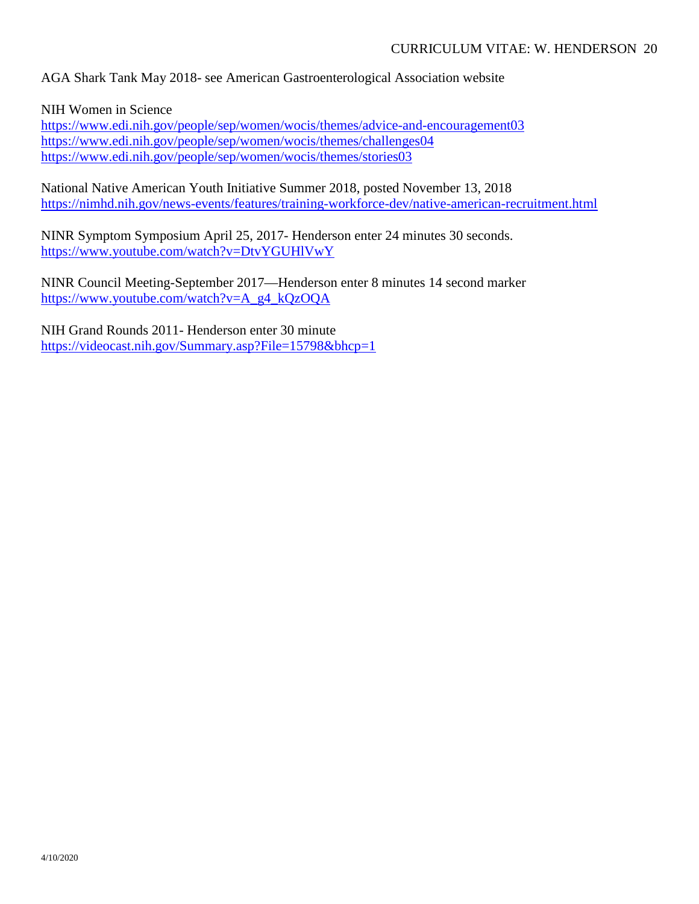AGA Shark Tank May 2018- see American Gastroenterological Association website

NIH Women in Science

<https://www.edi.nih.gov/people/sep/women/wocis/themes/advice-and-encouragement03> <https://www.edi.nih.gov/people/sep/women/wocis/themes/challenges04> <https://www.edi.nih.gov/people/sep/women/wocis/themes/stories03>

National Native American Youth Initiative Summer 2018, posted November 13, 2018 <https://nimhd.nih.gov/news-events/features/training-workforce-dev/native-american-recruitment.html>

NINR Symptom Symposium April 25, 2017- Henderson enter 24 minutes 30 seconds. <https://www.youtube.com/watch?v=DtvYGUHlVwY>

NINR Council Meeting-September 2017—Henderson enter 8 minutes 14 second marker [https://www.youtube.com/watch?v=A\\_g4\\_kQzOQA](https://www.youtube.com/watch?v=A_g4_kQzOQA)

NIH Grand Rounds 2011- Henderson enter 30 minute <https://videocast.nih.gov/Summary.asp?File=15798&bhcp=1>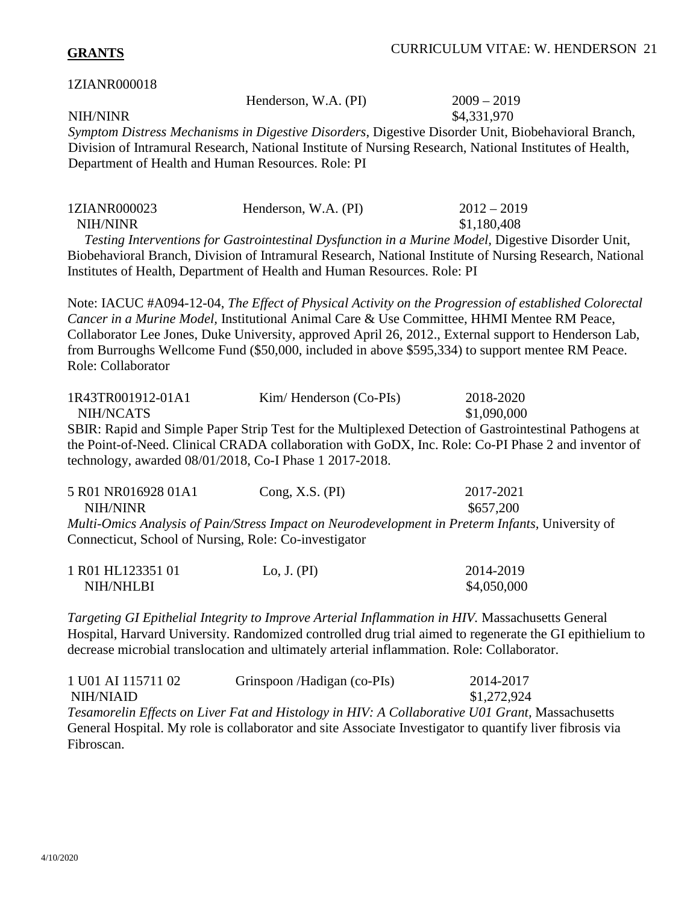## **GRANTS**

#### 1ZIANR000018

| Henderson, W.A. (PI) | $2009 - 2019$ |
|----------------------|---------------|
|----------------------|---------------|

NIH/NINR \$4,331,970

*Symptom Distress Mechanisms in Digestive Disorders*, Digestive Disorder Unit, Biobehavioral Branch, Division of Intramural Research, National Institute of Nursing Research, National Institutes of Health, Department of Health and Human Resources. Role: PI

| 1ZIANR000023 | Henderson, W.A. (PI) | $2012 - 2019$ |
|--------------|----------------------|---------------|
| NIH/NINR     |                      | \$1,180,408   |

 *Testing Interventions for Gastrointestinal Dysfunction in a Murine Model,* Digestive Disorder Unit, Biobehavioral Branch, Division of Intramural Research, National Institute of Nursing Research, National Institutes of Health, Department of Health and Human Resources. Role: PI

Note: IACUC #A094-12-04, *The Effect of Physical Activity on the Progression of established Colorectal Cancer in a Murine Model,* Institutional Animal Care & Use Committee, HHMI Mentee RM Peace, Collaborator Lee Jones, Duke University, approved April 26, 2012., External support to Henderson Lab, from Burroughs Wellcome Fund (\$50,000, included in above \$595,334) to support mentee RM Peace. Role: Collaborator

| 1R43TR001912-01A1                                       | $Kim/ Henderson (Co-PIs)$                                                                              | 2018-2020   |
|---------------------------------------------------------|--------------------------------------------------------------------------------------------------------|-------------|
| NIH/NCATS                                               |                                                                                                        | \$1,090,000 |
|                                                         | SBIR: Rapid and Simple Paper Strip Test for the Multiplexed Detection of Gastrointestinal Pathogens at |             |
|                                                         | the Point-of-Need. Clinical CRADA collaboration with GoDX, Inc. Role: Co-PI Phase 2 and inventor of    |             |
| technology, awarded 08/01/2018, Co-I Phase 1 2017-2018. |                                                                                                        |             |

| 5 R01 NR016928 01A1                                   | Cong, X.S. $(PI)$ | 2017-2021                                                                                        |
|-------------------------------------------------------|-------------------|--------------------------------------------------------------------------------------------------|
| NIH/NINR                                              |                   | \$657,200                                                                                        |
|                                                       |                   | Multi-Omics Analysis of Pain/Stress Impact on Neurodevelopment in Preterm Infants, University of |
| Connecticut, School of Nursing, Role: Co-investigator |                   |                                                                                                  |

| 1 R01 HL123351 01 | Lo, J. $(PI)$ | 2014-2019   |
|-------------------|---------------|-------------|
| NIH/NHLBI         |               | \$4,050,000 |

*Targeting GI Epithelial Integrity to Improve Arterial Inflammation in HIV.* Massachusetts General Hospital, Harvard University. Randomized controlled drug trial aimed to regenerate the GI epithielium to decrease microbial translocation and ultimately arterial inflammation. Role: Collaborator.

| 1 U01 AI 115711 02 | Grinspoon/Hadigan (co-PIs)                                                                               | 2014-2017   |
|--------------------|----------------------------------------------------------------------------------------------------------|-------------|
| NIH/NIAID          |                                                                                                          | \$1,272,924 |
|                    | Tesamorelin Effects on Liver Fat and Histology in HIV: A Collaborative U01 Grant, Massachusetts          |             |
|                    | General Hospital. My role is collaborator and site Associate Investigator to quantify liver fibrosis via |             |
| Fibroscan.         |                                                                                                          |             |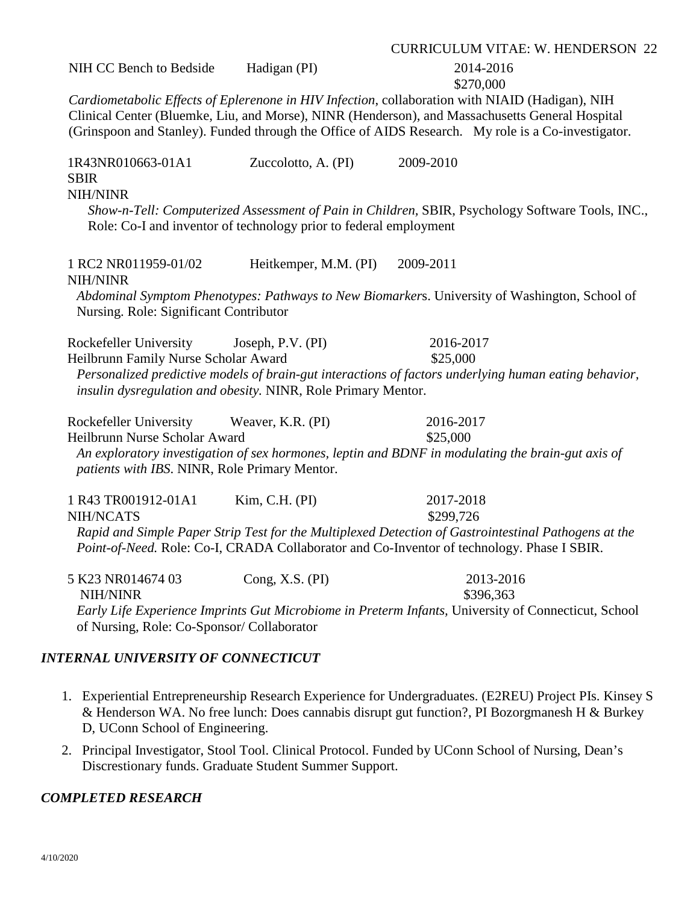| NIH CC Bench to Bedside                                                                                                         | Hadigan (PI)          | 2014-2016<br>\$270,000                                                                                                                                                                                                                                                                                   |
|---------------------------------------------------------------------------------------------------------------------------------|-----------------------|----------------------------------------------------------------------------------------------------------------------------------------------------------------------------------------------------------------------------------------------------------------------------------------------------------|
|                                                                                                                                 |                       | Cardiometabolic Effects of Eplerenone in HIV Infection, collaboration with NIAID (Hadigan), NIH<br>Clinical Center (Bluemke, Liu, and Morse), NINR (Henderson), and Massachusetts General Hospital<br>(Grinspoon and Stanley). Funded through the Office of AIDS Research. My role is a Co-investigator. |
| 1R43NR010663-01A1<br><b>SBIR</b><br><b>NIH/NINR</b><br>Role: Co-I and inventor of technology prior to federal employment        | Zuccolotto, A. (PI)   | 2009-2010<br>Show-n-Tell: Computerized Assessment of Pain in Children, SBIR, Psychology Software Tools, INC.,                                                                                                                                                                                            |
| 1 RC2 NR011959-01/02<br><b>NIH/NINR</b><br>Nursing. Role: Significant Contributor                                               | Heitkemper, M.M. (PI) | 2009-2011<br>Abdominal Symptom Phenotypes: Pathways to New Biomarkers. University of Washington, School of                                                                                                                                                                                               |
| Rockefeller University<br>Heilbrunn Family Nurse Scholar Award<br>insulin dysregulation and obesity. NINR, Role Primary Mentor. | Joseph, P.V. (PI)     | 2016-2017<br>\$25,000<br>Personalized predictive models of brain-gut interactions of factors underlying human eating behavior,                                                                                                                                                                           |
| Rockefeller University<br>Heilbrunn Nurse Scholar Award<br>patients with IBS. NINR, Role Primary Mentor.                        | Weaver, K.R. (PI)     | 2016-2017<br>\$25,000<br>An exploratory investigation of sex hormones, leptin and BDNF in modulating the brain-gut axis of                                                                                                                                                                               |
| 1 R43 TR001912-01A1<br>NIH/NCATS                                                                                                | Kim, C.H. (PI)        | 2017-2018<br>\$299,726<br>Rapid and Simple Paper Strip Test for the Multiplexed Detection of Gastrointestinal Pathogens at the<br>Point-of-Need. Role: Co-I, CRADA Collaborator and Co-Inventor of technology. Phase I SBIR.                                                                             |
| 5 K23 NR014674 03<br>NIH/NINR<br>of Nursing, Role: Co-Sponsor/ Collaborator                                                     | Cong, X.S. (PI)       | 2013-2016<br>\$396,363<br>Early Life Experience Imprints Gut Microbiome in Preterm Infants, University of Connecticut, School                                                                                                                                                                            |

#### *INTERNAL UNIVERSITY OF CONNECTICUT*

- 1. Experiential Entrepreneurship Research Experience for Undergraduates. (E2REU) Project PIs. Kinsey S & Henderson WA. No free lunch: Does cannabis disrupt gut function?, PI Bozorgmanesh H & Burkey D, UConn School of Engineering.
- 2. Principal Investigator, Stool Tool. Clinical Protocol. Funded by UConn School of Nursing, Dean's Discrestionary funds. Graduate Student Summer Support.

### *COMPLETED RESEARCH*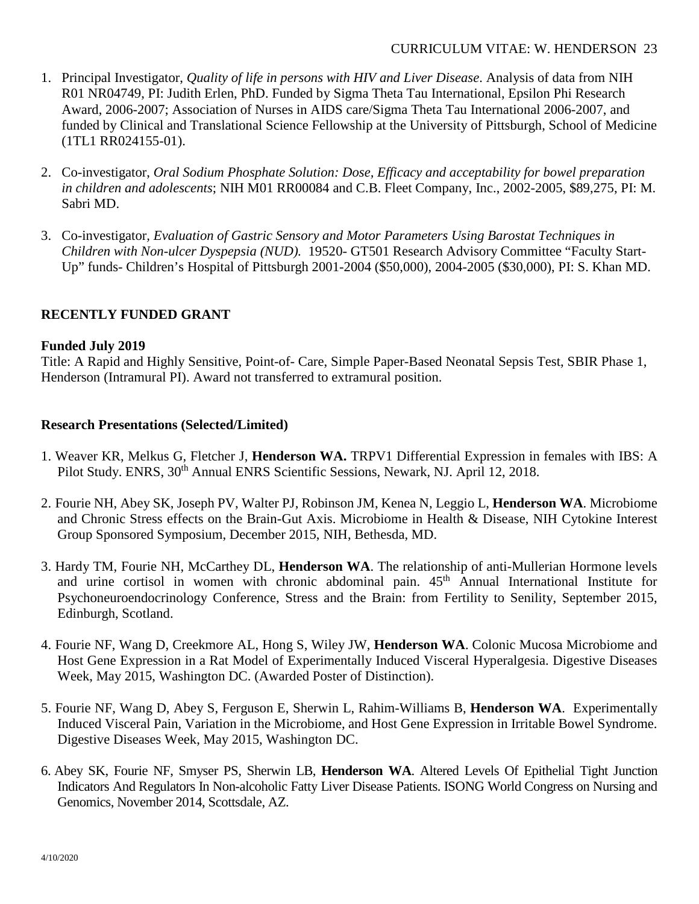- 1. Principal Investigator, *Quality of life in persons with HIV and Liver Disease*. Analysis of data from NIH R01 NR04749, PI: Judith Erlen, PhD. Funded by Sigma Theta Tau International, Epsilon Phi Research Award, 2006-2007; Association of Nurses in AIDS care/Sigma Theta Tau International 2006-2007, and funded by Clinical and Translational Science Fellowship at the University of Pittsburgh, School of Medicine (1TL1 RR024155-01).
- 2. Co-investigator, *Oral Sodium Phosphate Solution: Dose, Efficacy and acceptability for bowel preparation in children and adolescents*; NIH M01 RR00084 and C.B. Fleet Company, Inc., 2002-2005, \$89,275, PI: M. Sabri MD.
- 3. Co-investigator*, Evaluation of Gastric Sensory and Motor Parameters Using Barostat Techniques in Children with Non-ulcer Dyspepsia (NUD).* 19520- GT501 Research Advisory Committee "Faculty Start-Up" funds- Children's Hospital of Pittsburgh 2001-2004 (\$50,000), 2004-2005 (\$30,000), PI: S. Khan MD.

## **RECENTLY FUNDED GRANT**

### **Funded July 2019**

Title: A Rapid and Highly Sensitive, Point-of- Care, Simple Paper-Based Neonatal Sepsis Test, SBIR Phase 1, Henderson (Intramural PI). Award not transferred to extramural position.

## **Research Presentations (Selected/Limited)**

- 1. Weaver KR, Melkus G, Fletcher J, **Henderson WA.** TRPV1 Differential Expression in females with IBS: A Pilot Study. ENRS,  $30<sup>th</sup>$  Annual ENRS Scientific Sessions, Newark, NJ. April 12, 2018.
- 2. Fourie NH, Abey SK, Joseph PV, Walter PJ, Robinson JM, Kenea N, Leggio L, **Henderson WA**. Microbiome and Chronic Stress effects on the Brain-Gut Axis. Microbiome in Health & Disease, NIH Cytokine Interest Group Sponsored Symposium, December 2015, NIH, Bethesda, MD.
- 3. Hardy TM, Fourie NH, McCarthey DL, **Henderson WA**. The relationship of anti-Mullerian Hormone levels and urine cortisol in women with chronic abdominal pain.  $45<sup>th</sup>$  Annual International Institute for Psychoneuroendocrinology Conference, Stress and the Brain: from Fertility to Senility, September 2015, Edinburgh, Scotland.
- 4. Fourie NF, Wang D, Creekmore AL, Hong S, Wiley JW, **Henderson WA**. Colonic Mucosa Microbiome and Host Gene Expression in a Rat Model of Experimentally Induced Visceral Hyperalgesia. Digestive Diseases Week, May 2015, Washington DC. (Awarded Poster of Distinction).
- 5. Fourie NF, Wang D, Abey S, Ferguson E, Sherwin L, Rahim-Williams B, **Henderson WA**. Experimentally Induced Visceral Pain, Variation in the Microbiome, and Host Gene Expression in Irritable Bowel Syndrome. Digestive Diseases Week, May 2015, Washington DC.
- 6. Abey SK, Fourie NF, Smyser PS, Sherwin LB, **Henderson WA**. Altered Levels Of Epithelial Tight Junction Indicators And Regulators In Non-alcoholic Fatty Liver Disease Patients. ISONG World Congress on Nursing and Genomics, November 2014, Scottsdale, AZ.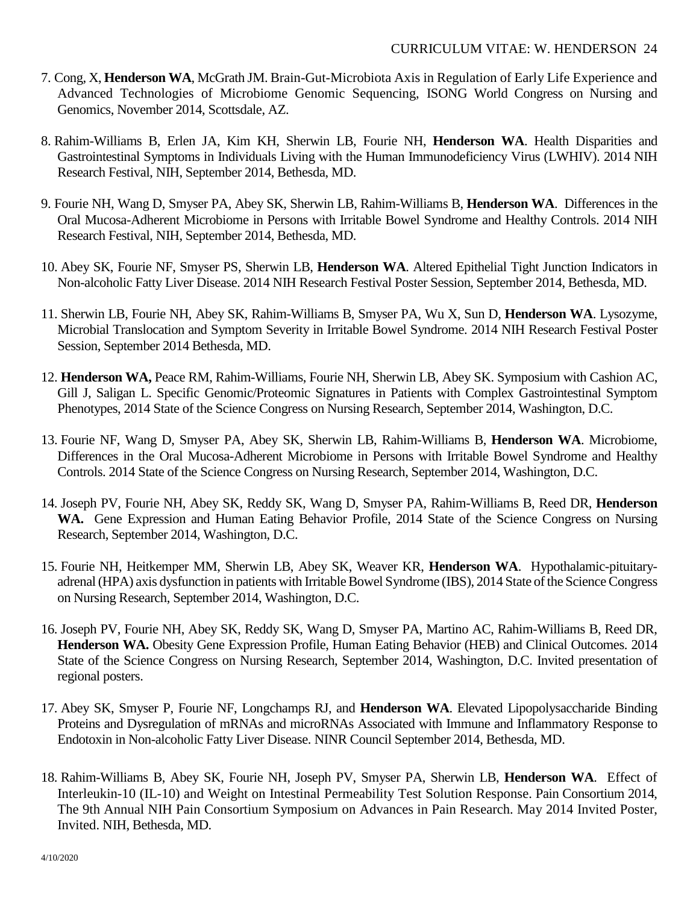- 7. Cong, X, **Henderson WA**, McGrath JM. Brain-Gut-Microbiota Axis in Regulation of Early Life Experience and Advanced Technologies of Microbiome Genomic Sequencing, ISONG World Congress on Nursing and Genomics, November 2014, Scottsdale, AZ.
- 8. Rahim-Williams B, Erlen JA, Kim KH, Sherwin LB, Fourie NH, **Henderson WA**. Health Disparities and Gastrointestinal Symptoms in Individuals Living with the Human Immunodeficiency Virus (LWHIV). 2014 NIH Research Festival, NIH, September 2014, Bethesda, MD.
- 9. Fourie NH, Wang D, Smyser PA, Abey SK, Sherwin LB, Rahim-Williams B, **Henderson WA**. Differences in the Oral Mucosa-Adherent Microbiome in Persons with Irritable Bowel Syndrome and Healthy Controls. 2014 NIH Research Festival, NIH, September 2014, Bethesda, MD.
- 10. Abey SK, Fourie NF, Smyser PS, Sherwin LB, **Henderson WA**. Altered Epithelial Tight Junction Indicators in Non-alcoholic Fatty Liver Disease. 2014 NIH Research Festival Poster Session, September 2014, Bethesda, MD.
- 11. Sherwin LB, Fourie NH, Abey SK, Rahim-Williams B, Smyser PA, Wu X, Sun D, **Henderson WA**. Lysozyme, Microbial Translocation and Symptom Severity in Irritable Bowel Syndrome. 2014 NIH Research Festival Poster Session, September 2014 Bethesda, MD.
- 12. **Henderson WA,** Peace RM, Rahim-Williams, Fourie NH, Sherwin LB, Abey SK. Symposium with Cashion AC, Gill J, Saligan L. Specific Genomic/Proteomic Signatures in Patients with Complex Gastrointestinal Symptom Phenotypes, 2014 State of the Science Congress on Nursing Research, September 2014, Washington, D.C.
- 13. Fourie NF, Wang D, Smyser PA, Abey SK, Sherwin LB, Rahim-Williams B, **Henderson WA**. Microbiome, Differences in the Oral Mucosa-Adherent Microbiome in Persons with Irritable Bowel Syndrome and Healthy Controls. 2014 State of the Science Congress on Nursing Research, September 2014, Washington, D.C.
- 14. Joseph PV, Fourie NH, Abey SK, Reddy SK, Wang D, Smyser PA, Rahim-Williams B, Reed DR, **Henderson WA.** Gene Expression and Human Eating Behavior Profile, 2014 State of the Science Congress on Nursing Research, September 2014, Washington, D.C.
- 15. Fourie NH, Heitkemper MM, Sherwin LB, Abey SK, Weaver KR, **Henderson WA**. Hypothalamic-pituitaryadrenal (HPA) axis dysfunction in patients with Irritable Bowel Syndrome (IBS), 2014 State of the Science Congress on Nursing Research, September 2014, Washington, D.C.
- 16. Joseph PV, Fourie NH, Abey SK, Reddy SK, Wang D, Smyser PA, Martino AC, Rahim-Williams B, Reed DR, **Henderson WA.** Obesity Gene Expression Profile, Human Eating Behavior (HEB) and Clinical Outcomes. 2014 State of the Science Congress on Nursing Research, September 2014, Washington, D.C. Invited presentation of regional posters.
- 17. Abey SK, Smyser P, Fourie NF, Longchamps RJ, and **Henderson WA**. Elevated Lipopolysaccharide Binding Proteins and Dysregulation of mRNAs and microRNAs Associated with Immune and Inflammatory Response to Endotoxin in Non-alcoholic Fatty Liver Disease. NINR Council September 2014, Bethesda, MD.
- 18. Rahim-Williams B, Abey SK, Fourie NH, Joseph PV, Smyser PA, Sherwin LB, **Henderson WA**. Effect of Interleukin-10 (IL-10) and Weight on Intestinal Permeability Test Solution Response. Pain Consortium 2014, The 9th Annual NIH Pain Consortium Symposium on Advances in Pain Research. May 2014 Invited Poster, Invited. NIH, Bethesda, MD.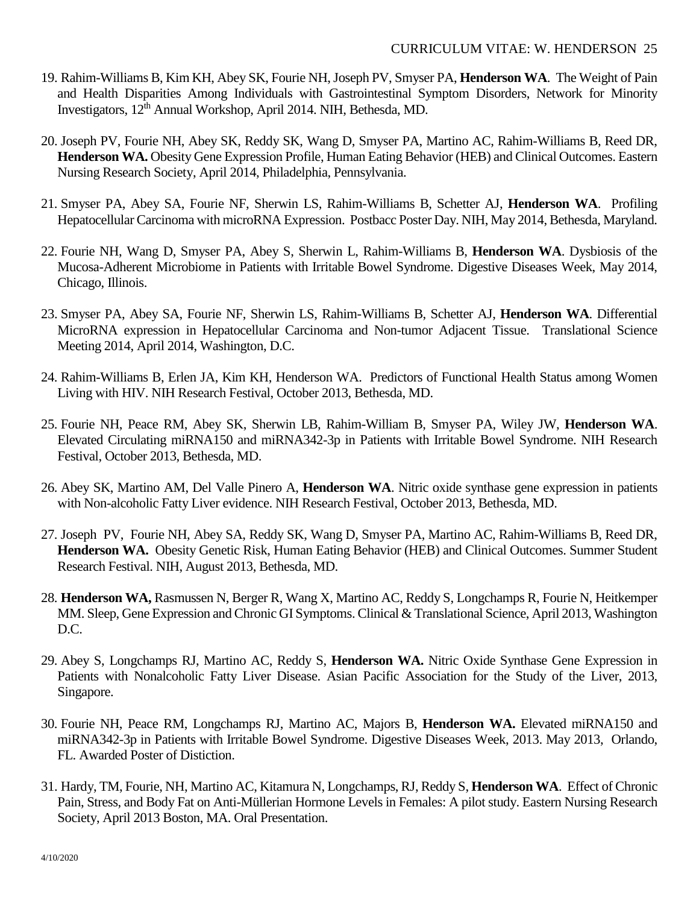- 19. Rahim-Williams B, Kim KH, Abey SK, Fourie NH, Joseph PV, Smyser PA, **Henderson WA**. The Weight of Pain and Health Disparities Among Individuals with Gastrointestinal Symptom Disorders, Network for Minority Investigators, 12th Annual Workshop, April 2014. NIH, Bethesda, MD.
- 20. Joseph PV, Fourie NH, Abey SK, Reddy SK, Wang D, Smyser PA, Martino AC, Rahim-Williams B, Reed DR, **Henderson WA.** Obesity Gene Expression Profile, Human Eating Behavior (HEB) and Clinical Outcomes. Eastern Nursing Research Society, April 2014, Philadelphia, Pennsylvania.
- 21. Smyser PA, Abey SA, Fourie NF, Sherwin LS, Rahim-Williams B, Schetter AJ, **Henderson WA**. Profiling Hepatocellular Carcinoma with microRNA Expression. Postbacc Poster Day. NIH, May 2014, Bethesda, Maryland.
- 22. Fourie NH, Wang D, Smyser PA, Abey S, Sherwin L, Rahim-Williams B, **Henderson WA**. Dysbiosis of the Mucosa-Adherent Microbiome in Patients with Irritable Bowel Syndrome. Digestive Diseases Week, May 2014, Chicago, Illinois.
- 23. Smyser PA, Abey SA, Fourie NF, Sherwin LS, Rahim-Williams B, Schetter AJ, **Henderson WA**. Differential MicroRNA expression in Hepatocellular Carcinoma and Non-tumor Adjacent Tissue. Translational Science Meeting 2014, April 2014, Washington, D.C.
- 24. Rahim-Williams B, Erlen JA, Kim KH, Henderson WA. Predictors of Functional Health Status among Women Living with HIV. NIH Research Festival, October 2013, Bethesda, MD.
- 25. Fourie NH, Peace RM, Abey SK, Sherwin LB, Rahim-William B, Smyser PA, Wiley JW, **Henderson WA**. Elevated Circulating miRNA150 and miRNA342-3p in Patients with Irritable Bowel Syndrome. NIH Research Festival, October 2013, Bethesda, MD.
- 26. Abey SK, Martino AM, Del Valle Pinero A, **Henderson WA**. Nitric oxide synthase gene expression in patients with Non-alcoholic Fatty Liver evidence. NIH Research Festival, October 2013, Bethesda, MD.
- 27. Joseph PV, Fourie NH, Abey SA, Reddy SK, Wang D, Smyser PA, Martino AC, Rahim-Williams B, Reed DR, **Henderson WA.** Obesity Genetic Risk, Human Eating Behavior (HEB) and Clinical Outcomes. Summer Student Research Festival. NIH, August 2013, Bethesda, MD.
- 28. **Henderson WA,** Rasmussen N, Berger R, Wang X, Martino AC, Reddy S, Longchamps R, Fourie N, Heitkemper MM. Sleep, Gene Expression and Chronic GI Symptoms. Clinical & Translational Science, April 2013, Washington D.C.
- 29. Abey S, Longchamps RJ, Martino AC, Reddy S, **Henderson WA.** Nitric Oxide Synthase Gene Expression in Patients with Nonalcoholic Fatty Liver Disease. Asian Pacific Association for the Study of the Liver, 2013, Singapore.
- 30. Fourie NH, Peace RM, Longchamps RJ, Martino AC, Majors B, **Henderson WA.** Elevated miRNA150 and miRNA342-3p in Patients with Irritable Bowel Syndrome. Digestive Diseases Week, 2013. May 2013, Orlando, FL. Awarded Poster of Distiction.
- 31. Hardy, TM, Fourie, NH, Martino AC, Kitamura N, Longchamps, RJ, Reddy S, **Henderson WA**. Effect of Chronic Pain, Stress, and Body Fat on Anti-Müllerian Hormone Levels in Females: A pilot study. Eastern Nursing Research Society, April 2013 Boston, MA. Oral Presentation.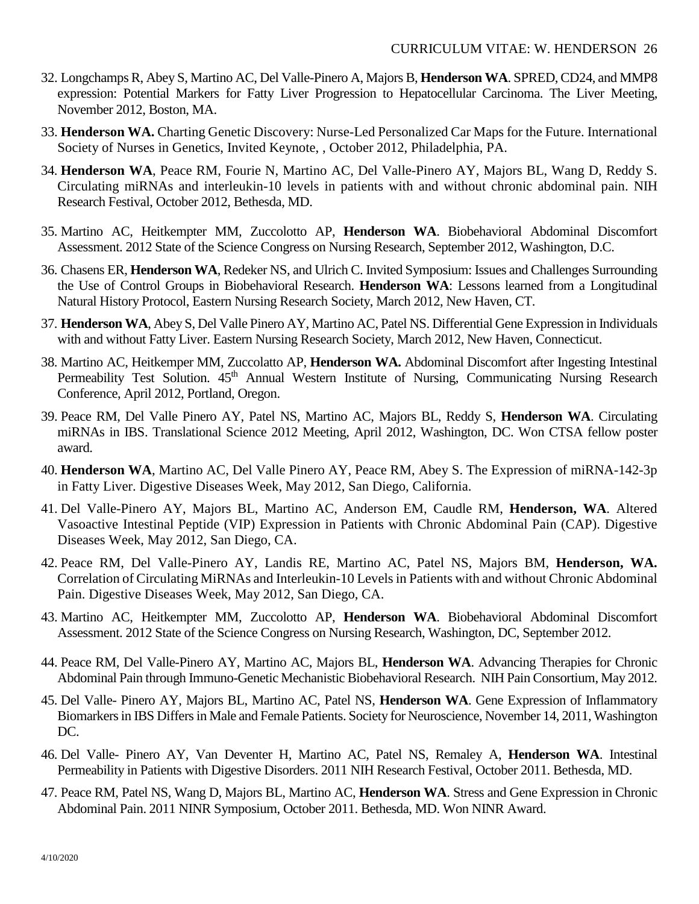- 32. Longchamps R, Abey S, Martino AC, Del Valle-Pinero A, Majors B, **Henderson WA**. SPRED, CD24, and MMP8 expression: Potential Markers for Fatty Liver Progression to Hepatocellular Carcinoma. The Liver Meeting, November 2012, Boston, MA.
- 33. **Henderson WA.** Charting Genetic Discovery: Nurse-Led Personalized Car Maps for the Future. International Society of Nurses in Genetics, Invited Keynote, , October 2012, Philadelphia, PA.
- 34. **Henderson WA**, Peace RM, Fourie N, Martino AC, Del Valle-Pinero AY, Majors BL, Wang D, Reddy S. Circulating miRNAs and interleukin-10 levels in patients with and without chronic abdominal pain. NIH Research Festival, October 2012, Bethesda, MD.
- 35. Martino AC, Heitkempter MM, Zuccolotto AP, **Henderson WA**. Biobehavioral Abdominal Discomfort Assessment. 2012 State of the Science Congress on Nursing Research, September 2012, Washington, D.C.
- 36. Chasens ER, **Henderson WA**, Redeker NS, and Ulrich C. Invited Symposium: Issues and Challenges Surrounding the Use of Control Groups in Biobehavioral Research. **Henderson WA**: Lessons learned from a Longitudinal Natural History Protocol, Eastern Nursing Research Society, March 2012, New Haven, CT.
- 37. **Henderson WA**, Abey S, Del Valle Pinero AY, Martino AC, Patel NS. Differential Gene Expression in Individuals with and without Fatty Liver. Eastern Nursing Research Society, March 2012, New Haven, Connecticut.
- 38. Martino AC, Heitkemper MM, Zuccolatto AP, **Henderson WA.** Abdominal Discomfort after Ingesting Intestinal Permeability Test Solution. 45<sup>th</sup> Annual Western Institute of Nursing, Communicating Nursing Research Conference, April 2012, Portland, Oregon.
- 39. Peace RM, Del Valle Pinero AY, Patel NS, Martino AC, Majors BL, Reddy S, **Henderson WA**. Circulating miRNAs in IBS. Translational Science 2012 Meeting, April 2012, Washington, DC. Won CTSA fellow poster award.
- 40. **Henderson WA**, Martino AC, Del Valle Pinero AY, Peace RM, Abey S. The Expression of miRNA-142-3p in Fatty Liver. Digestive Diseases Week, May 2012, San Diego, California.
- 41. Del Valle-Pinero AY, Majors BL, Martino AC, Anderson EM, Caudle RM, **Henderson, WA**. Altered Vasoactive Intestinal Peptide (VIP) Expression in Patients with Chronic Abdominal Pain (CAP). Digestive Diseases Week, May 2012, San Diego, CA.
- 42. Peace RM, Del Valle-Pinero AY, Landis RE, Martino AC, Patel NS, Majors BM, **Henderson, WA.**  Correlation of Circulating MiRNAs and Interleukin-10 Levels in Patients with and without Chronic Abdominal Pain. Digestive Diseases Week, May 2012, San Diego, CA.
- 43. Martino AC, Heitkempter MM, Zuccolotto AP, **Henderson WA**. Biobehavioral Abdominal Discomfort Assessment. 2012 State of the Science Congress on Nursing Research, Washington, DC, September 2012.
- 44. Peace RM, Del Valle-Pinero AY, Martino AC, Majors BL, **Henderson WA**. Advancing Therapies for Chronic Abdominal Pain through Immuno-Genetic Mechanistic Biobehavioral Research. NIH Pain Consortium, May 2012.
- 45. Del Valle- Pinero AY, Majors BL, Martino AC, Patel NS, **Henderson WA**. Gene Expression of Inflammatory Biomarkers in IBS Differs in Male and Female Patients. Society for Neuroscience, November 14, 2011, Washington DC.
- 46. Del Valle- Pinero AY, Van Deventer H, Martino AC, Patel NS, Remaley A, **Henderson WA**. Intestinal Permeability in Patients with Digestive Disorders. 2011 NIH Research Festival, October 2011. Bethesda, MD.
- 47. Peace RM, Patel NS, Wang D, Majors BL, Martino AC, **Henderson WA**. Stress and Gene Expression in Chronic Abdominal Pain. 2011 NINR Symposium, October 2011. Bethesda, MD. Won NINR Award.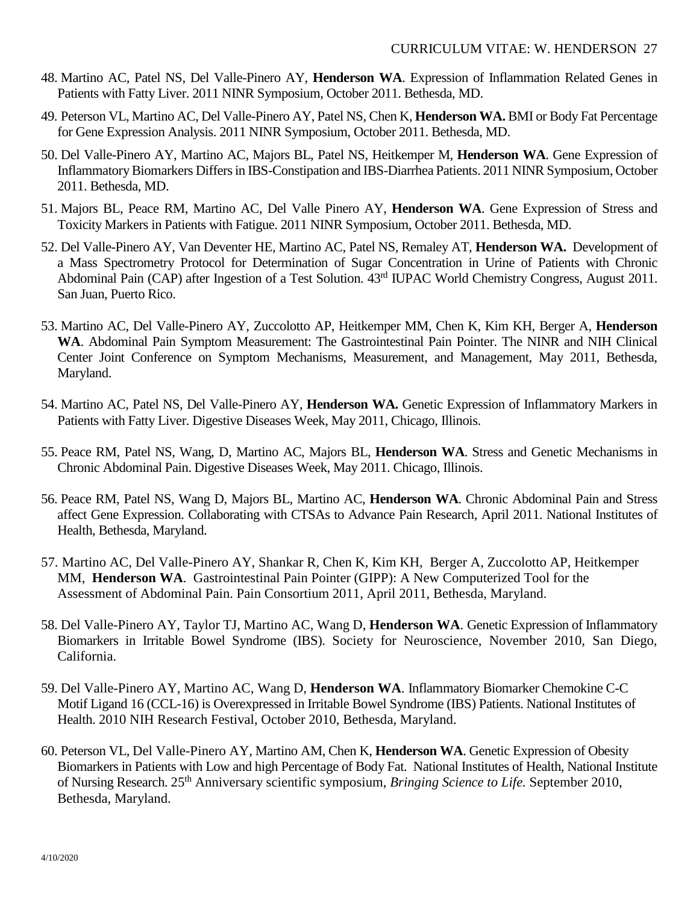- 48. Martino AC, Patel NS, Del Valle-Pinero AY, **Henderson WA**. Expression of Inflammation Related Genes in Patients with Fatty Liver. 2011 NINR Symposium, October 2011. Bethesda, MD.
- 49. Peterson VL, Martino AC, Del Valle-Pinero AY, Patel NS, Chen K, **Henderson WA.** BMI or Body Fat Percentage for Gene Expression Analysis. 2011 NINR Symposium, October 2011. Bethesda, MD.
- 50. Del Valle-Pinero AY, Martino AC, Majors BL, Patel NS, Heitkemper M, **Henderson WA**. Gene Expression of Inflammatory Biomarkers Differs in IBS-Constipation and IBS-Diarrhea Patients. 2011 NINR Symposium, October 2011. Bethesda, MD.
- 51. Majors BL, Peace RM, Martino AC, Del Valle Pinero AY, **Henderson WA**. Gene Expression of Stress and Toxicity Markers in Patients with Fatigue. 2011 NINR Symposium, October 2011. Bethesda, MD.
- 52. Del Valle-Pinero AY, Van Deventer HE, Martino AC, Patel NS, Remaley AT, **Henderson WA.** Development of a Mass Spectrometry Protocol for Determination of Sugar Concentration in Urine of Patients with Chronic Abdominal Pain (CAP) after Ingestion of a Test Solution. 43rd IUPAC World Chemistry Congress, August 2011. San Juan, Puerto Rico.
- 53. Martino AC, Del Valle-Pinero AY, Zuccolotto AP, Heitkemper MM, Chen K, Kim KH, Berger A, **Henderson WA**. Abdominal Pain Symptom Measurement: The Gastrointestinal Pain Pointer. The NINR and NIH Clinical Center Joint Conference on Symptom Mechanisms, Measurement, and Management, May 2011, Bethesda, Maryland.
- 54. Martino AC, Patel NS, Del Valle-Pinero AY, **Henderson WA.** Genetic Expression of Inflammatory Markers in Patients with Fatty Liver. Digestive Diseases Week, May 2011, Chicago, Illinois.
- 55. Peace RM, Patel NS, Wang, D, Martino AC, Majors BL, **Henderson WA**. Stress and Genetic Mechanisms in Chronic Abdominal Pain. Digestive Diseases Week, May 2011. Chicago, Illinois.
- 56. Peace RM, Patel NS, Wang D, Majors BL, Martino AC, **Henderson WA**. Chronic Abdominal Pain and Stress affect Gene Expression. Collaborating with CTSAs to Advance Pain Research, April 2011. National Institutes of Health, Bethesda, Maryland.
- 57. Martino AC, Del Valle-Pinero AY, Shankar R, Chen K, Kim KH, Berger A, Zuccolotto AP, Heitkemper MM, **Henderson WA**. Gastrointestinal Pain Pointer (GIPP): A New Computerized Tool for the Assessment of Abdominal Pain. Pain Consortium 2011, April 2011, Bethesda, Maryland.
- 58. Del Valle-Pinero AY, Taylor TJ, Martino AC, Wang D, **Henderson WA**. Genetic Expression of Inflammatory Biomarkers in Irritable Bowel Syndrome (IBS). Society for Neuroscience, November 2010, San Diego, California.
- 59. Del Valle-Pinero AY, Martino AC, Wang D, **Henderson WA**. Inflammatory Biomarker Chemokine C-C Motif Ligand 16 (CCL-16) is Overexpressed in Irritable Bowel Syndrome (IBS) Patients. National Institutes of Health. 2010 NIH Research Festival, October 2010, Bethesda, Maryland.
- 60. Peterson VL, Del Valle-Pinero AY, Martino AM, Chen K, **Henderson WA**. Genetic Expression of Obesity Biomarkers in Patients with Low and high Percentage of Body Fat. National Institutes of Health, National Institute of Nursing Research. 25th Anniversary scientific symposium, *Bringing Science to Life.* September 2010, Bethesda, Maryland.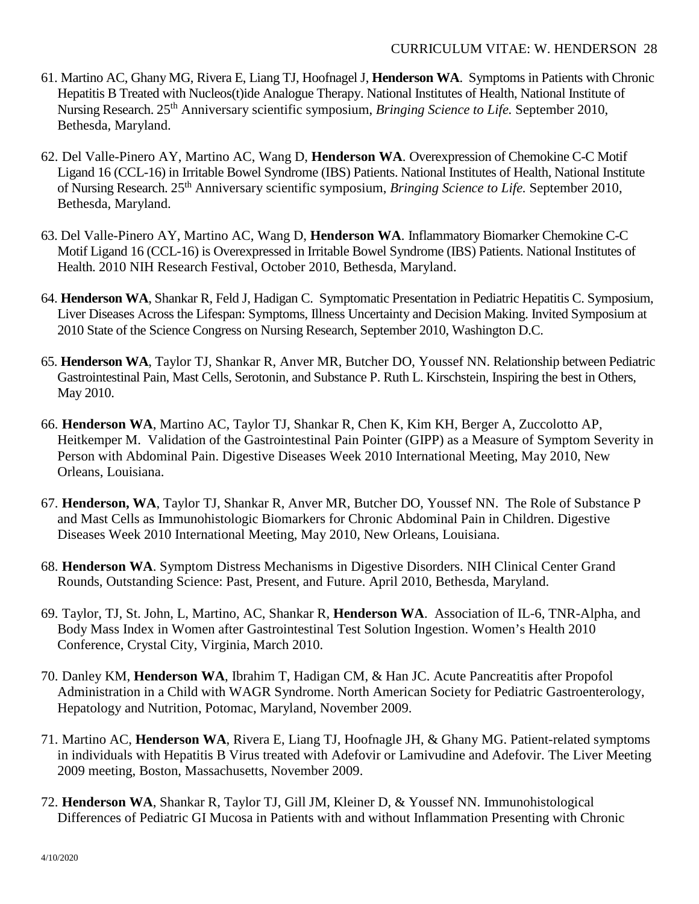- 61. Martino AC, Ghany MG, Rivera E, Liang TJ, Hoofnagel J, **Henderson WA**. Symptoms in Patients with Chronic Hepatitis B Treated with Nucleos(t)ide Analogue Therapy. National Institutes of Health, National Institute of Nursing Research. 25th Anniversary scientific symposium, *Bringing Science to Life.* September 2010, Bethesda, Maryland.
- 62. Del Valle-Pinero AY, Martino AC, Wang D, **Henderson WA**. Overexpression of Chemokine C-C Motif Ligand 16 (CCL-16) in Irritable Bowel Syndrome (IBS) Patients. National Institutes of Health, National Institute of Nursing Research. 25th Anniversary scientific symposium, *Bringing Science to Life.* September 2010, Bethesda, Maryland.
- 63. Del Valle-Pinero AY, Martino AC, Wang D, **Henderson WA**. Inflammatory Biomarker Chemokine C-C Motif Ligand 16 (CCL-16) is Overexpressed in Irritable Bowel Syndrome (IBS) Patients. National Institutes of Health. 2010 NIH Research Festival, October 2010, Bethesda, Maryland.
- 64. **Henderson WA**, Shankar R, Feld J, Hadigan C. Symptomatic Presentation in Pediatric Hepatitis C. Symposium, Liver Diseases Across the Lifespan: Symptoms, Illness Uncertainty and Decision Making. Invited Symposium at 2010 State of the Science Congress on Nursing Research, September 2010, Washington D.C.
- 65. **Henderson WA**, Taylor TJ, Shankar R, Anver MR, Butcher DO, Youssef NN. Relationship between Pediatric Gastrointestinal Pain, Mast Cells, Serotonin, and Substance P. Ruth L. Kirschstein, Inspiring the best in Others, May 2010.
- 66. **Henderson WA**, Martino AC, Taylor TJ, Shankar R, Chen K, Kim KH, Berger A, Zuccolotto AP, Heitkemper M. Validation of the Gastrointestinal Pain Pointer (GIPP) as a Measure of Symptom Severity in Person with Abdominal Pain. Digestive Diseases Week 2010 International Meeting, May 2010, New Orleans, Louisiana.
- 67. **Henderson, WA**, Taylor TJ, Shankar R, Anver MR, Butcher DO, Youssef NN. The Role of Substance P and Mast Cells as Immunohistologic Biomarkers for Chronic Abdominal Pain in Children. Digestive Diseases Week 2010 International Meeting, May 2010, New Orleans, Louisiana.
- 68. **Henderson WA**. Symptom Distress Mechanisms in Digestive Disorders. NIH Clinical Center Grand Rounds, Outstanding Science: Past, Present, and Future. April 2010, Bethesda, Maryland.
- 69. Taylor, TJ, St. John, L, Martino, AC, Shankar R, **Henderson WA**. Association of IL-6, TNR-Alpha, and Body Mass Index in Women after Gastrointestinal Test Solution Ingestion. Women's Health 2010 Conference, Crystal City, Virginia, March 2010.
- 70. Danley KM, **Henderson WA**, Ibrahim T, Hadigan CM, & Han JC. Acute Pancreatitis after Propofol Administration in a Child with WAGR Syndrome. North American Society for Pediatric Gastroenterology, Hepatology and Nutrition, Potomac, Maryland, November 2009.
- 71. Martino AC, **Henderson WA**, Rivera E, Liang TJ, Hoofnagle JH, & Ghany MG. Patient-related symptoms in individuals with Hepatitis B Virus treated with Adefovir or Lamivudine and Adefovir. The Liver Meeting 2009 meeting, Boston, Massachusetts, November 2009.
- 72. **Henderson WA**, Shankar R, Taylor TJ, Gill JM, Kleiner D, & Youssef NN. Immunohistological Differences of Pediatric GI Mucosa in Patients with and without Inflammation Presenting with Chronic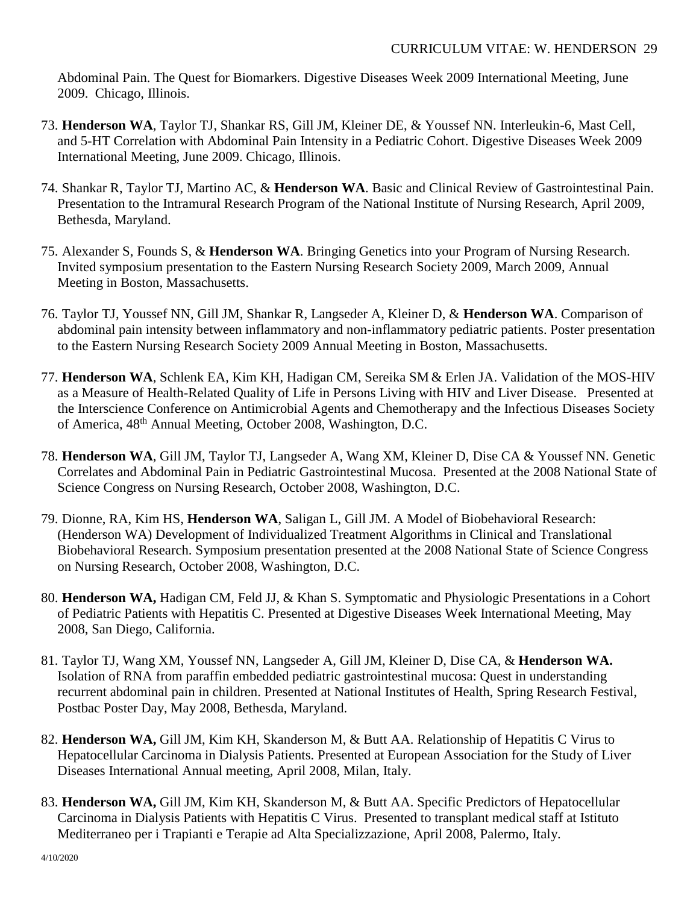Abdominal Pain. The Quest for Biomarkers. Digestive Diseases Week 2009 International Meeting, June 2009. Chicago, Illinois.

- 73. **Henderson WA**, Taylor TJ, Shankar RS, Gill JM, Kleiner DE, & Youssef NN. Interleukin-6, Mast Cell, and 5-HT Correlation with Abdominal Pain Intensity in a Pediatric Cohort. Digestive Diseases Week 2009 International Meeting, June 2009. Chicago, Illinois.
- 74. Shankar R, Taylor TJ, Martino AC, & **Henderson WA**. Basic and Clinical Review of Gastrointestinal Pain. Presentation to the Intramural Research Program of the National Institute of Nursing Research, April 2009, Bethesda, Maryland.
- 75. Alexander S, Founds S, & **Henderson WA**. Bringing Genetics into your Program of Nursing Research. Invited symposium presentation to the Eastern Nursing Research Society 2009, March 2009, Annual Meeting in Boston, Massachusetts.
- 76. Taylor TJ, Youssef NN, Gill JM, Shankar R, Langseder A, Kleiner D, & **Henderson WA**. Comparison of abdominal pain intensity between inflammatory and non-inflammatory pediatric patients. Poster presentation to the Eastern Nursing Research Society 2009 Annual Meeting in Boston, Massachusetts.
- 77. **Henderson WA**, Schlenk EA, Kim KH, Hadigan CM, Sereika SM & Erlen JA. Validation of the MOS-HIV as a Measure of Health-Related Quality of Life in Persons Living with HIV and Liver Disease. Presented at the Interscience Conference on Antimicrobial Agents and Chemotherapy and the Infectious Diseases Society of America, 48th Annual Meeting, October 2008, Washington, D.C.
- 78. **Henderson WA**, Gill JM, Taylor TJ, Langseder A, Wang XM, Kleiner D, Dise CA & Youssef NN. Genetic Correlates and Abdominal Pain in Pediatric Gastrointestinal Mucosa. Presented at the 2008 National State of Science Congress on Nursing Research, October 2008, Washington, D.C.
- 79. Dionne, RA, Kim HS, **Henderson WA**, Saligan L, Gill JM. A Model of Biobehavioral Research: (Henderson WA) Development of Individualized Treatment Algorithms in Clinical and Translational Biobehavioral Research. Symposium presentation presented at the 2008 National State of Science Congress on Nursing Research, October 2008, Washington, D.C.
- 80. **Henderson WA,** Hadigan CM, Feld JJ, & Khan S. Symptomatic and Physiologic Presentations in a Cohort of Pediatric Patients with Hepatitis C. Presented at Digestive Diseases Week International Meeting, May 2008, San Diego, California.
- 81. Taylor TJ, Wang XM, Youssef NN, Langseder A, Gill JM, Kleiner D, Dise CA, & **Henderson WA.** Isolation of RNA from paraffin embedded pediatric gastrointestinal mucosa: Quest in understanding recurrent abdominal pain in children. Presented at National Institutes of Health, Spring Research Festival, Postbac Poster Day, May 2008, Bethesda, Maryland.
- 82. **Henderson WA,** Gill JM, Kim KH, Skanderson M, & Butt AA. Relationship of Hepatitis C Virus to Hepatocellular Carcinoma in Dialysis Patients. Presented at European Association for the Study of Liver Diseases International Annual meeting, April 2008, Milan, Italy.
- 83. **Henderson WA,** Gill JM, Kim KH, Skanderson M, & Butt AA. Specific Predictors of Hepatocellular Carcinoma in Dialysis Patients with Hepatitis C Virus. Presented to transplant medical staff at Istituto Mediterraneo per i Trapianti e Terapie ad Alta Specializzazione, April 2008, Palermo, Italy.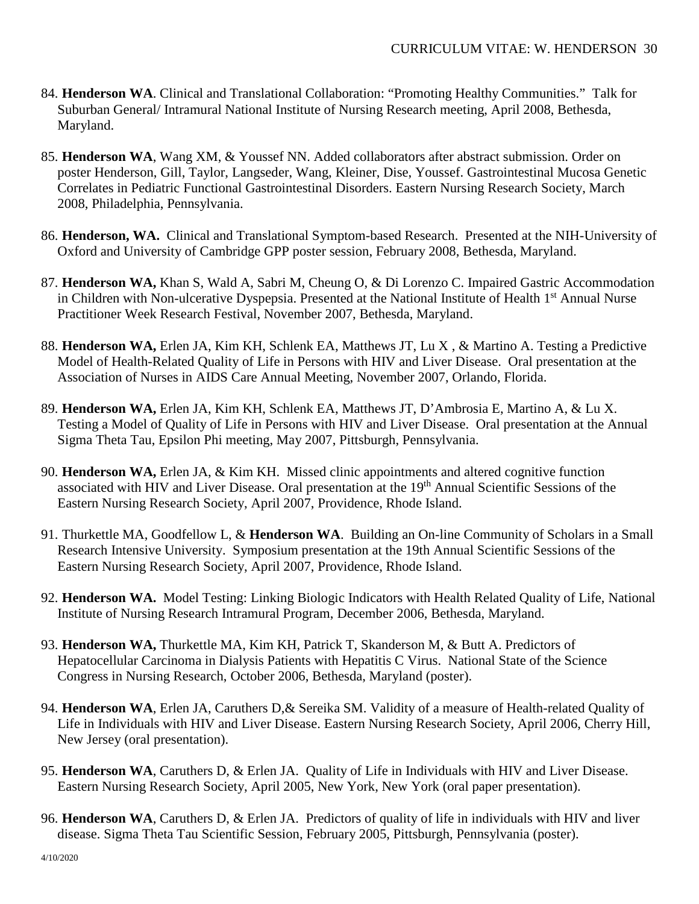- 84. **Henderson WA**. Clinical and Translational Collaboration: "Promoting Healthy Communities." Talk for Suburban General/ Intramural National Institute of Nursing Research meeting, April 2008, Bethesda, Maryland.
- 85. **Henderson WA**, Wang XM, & Youssef NN. Added collaborators after abstract submission. Order on poster Henderson, Gill, Taylor, Langseder, Wang, Kleiner, Dise, Youssef. Gastrointestinal Mucosa Genetic Correlates in Pediatric Functional Gastrointestinal Disorders. Eastern Nursing Research Society, March 2008, Philadelphia, Pennsylvania.
- 86. **Henderson, WA.** Clinical and Translational Symptom-based Research. Presented at the NIH-University of Oxford and University of Cambridge GPP poster session, February 2008, Bethesda, Maryland.
- 87. **Henderson WA,** Khan S, Wald A, Sabri M, Cheung O, & Di Lorenzo C. Impaired Gastric Accommodation in Children with Non-ulcerative Dyspepsia. Presented at the National Institute of Health 1<sup>st</sup> Annual Nurse Practitioner Week Research Festival, November 2007, Bethesda, Maryland.
- 88. **Henderson WA,** Erlen JA, Kim KH, Schlenk EA, Matthews JT, Lu X , & Martino A. Testing a Predictive Model of Health-Related Quality of Life in Persons with HIV and Liver Disease. Oral presentation at the Association of Nurses in AIDS Care Annual Meeting, November 2007, Orlando, Florida.
- 89. **Henderson WA,** Erlen JA, Kim KH, Schlenk EA, Matthews JT, D'Ambrosia E, Martino A, & Lu X. Testing a Model of Quality of Life in Persons with HIV and Liver Disease. Oral presentation at the Annual Sigma Theta Tau, Epsilon Phi meeting, May 2007, Pittsburgh, Pennsylvania.
- 90. **Henderson WA,** Erlen JA, & Kim KH.Missed clinic appointments and altered cognitive function associated with HIV and Liver Disease. Oral presentation at the 19<sup>th</sup> Annual Scientific Sessions of the Eastern Nursing Research Society, April 2007, Providence, Rhode Island.
- 91. Thurkettle MA, Goodfellow L, & **Henderson WA**. Building an On-line Community of Scholars in a Small Research Intensive University. Symposium presentation at the 19th Annual Scientific Sessions of the Eastern Nursing Research Society, April 2007, Providence, Rhode Island.
- 92. **Henderson WA.** Model Testing: Linking Biologic Indicators with Health Related Quality of Life, National Institute of Nursing Research Intramural Program, December 2006, Bethesda, Maryland.
- 93. **Henderson WA,** Thurkettle MA, Kim KH, Patrick T, Skanderson M, & Butt A. Predictors of Hepatocellular Carcinoma in Dialysis Patients with Hepatitis C Virus. National State of the Science Congress in Nursing Research, October 2006, Bethesda, Maryland (poster).
- 94. **Henderson WA**, Erlen JA, Caruthers D,& Sereika SM. Validity of a measure of Health-related Quality of Life in Individuals with HIV and Liver Disease. Eastern Nursing Research Society, April 2006, Cherry Hill, New Jersey (oral presentation).
- 95. **Henderson WA**, Caruthers D, & Erlen JA. Quality of Life in Individuals with HIV and Liver Disease. Eastern Nursing Research Society, April 2005, New York, New York (oral paper presentation).
- 96. **Henderson WA**, Caruthers D, & Erlen JA. Predictors of quality of life in individuals with HIV and liver disease. Sigma Theta Tau Scientific Session, February 2005, Pittsburgh, Pennsylvania (poster).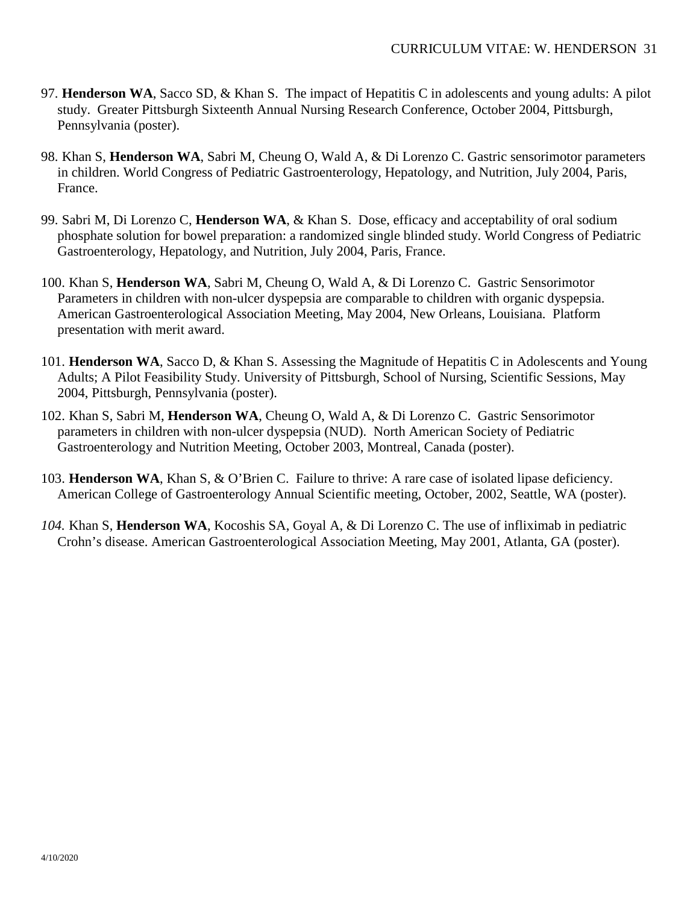- 97. **Henderson WA**, Sacco SD, & Khan S. The impact of Hepatitis C in adolescents and young adults: A pilot study. Greater Pittsburgh Sixteenth Annual Nursing Research Conference, October 2004, Pittsburgh, Pennsylvania (poster).
- 98. Khan S, **Henderson WA**, Sabri M, Cheung O, Wald A, & Di Lorenzo C. Gastric sensorimotor parameters in children. World Congress of Pediatric Gastroenterology, Hepatology, and Nutrition, July 2004, Paris, France.
- 99. Sabri M, Di Lorenzo C, **Henderson WA**, & Khan S. Dose, efficacy and acceptability of oral sodium phosphate solution for bowel preparation: a randomized single blinded study. World Congress of Pediatric Gastroenterology, Hepatology, and Nutrition, July 2004, Paris, France.
- 100. Khan S, **Henderson WA**, Sabri M, Cheung O, Wald A, & Di Lorenzo C. Gastric Sensorimotor Parameters in children with non-ulcer dyspepsia are comparable to children with organic dyspepsia. American Gastroenterological Association Meeting, May 2004, New Orleans, Louisiana. Platform presentation with merit award.
- 101. **Henderson WA**, Sacco D, & Khan S. Assessing the Magnitude of Hepatitis C in Adolescents and Young Adults; A Pilot Feasibility Study. University of Pittsburgh, School of Nursing, Scientific Sessions, May 2004, Pittsburgh, Pennsylvania (poster).
- 102. Khan S, Sabri M, **Henderson WA**, Cheung O, Wald A, & Di Lorenzo C. Gastric Sensorimotor parameters in children with non-ulcer dyspepsia (NUD). North American Society of Pediatric Gastroenterology and Nutrition Meeting, October 2003, Montreal, Canada (poster).
- 103. **Henderson WA**, Khan S, & O'Brien C. Failure to thrive: A rare case of isolated lipase deficiency. American College of Gastroenterology Annual Scientific meeting, October, 2002, Seattle, WA (poster).
- *104.* Khan S, **Henderson WA**, Kocoshis SA, Goyal A, & Di Lorenzo C. The use of infliximab in pediatric Crohn's disease. American Gastroenterological Association Meeting, May 2001, Atlanta, GA (poster).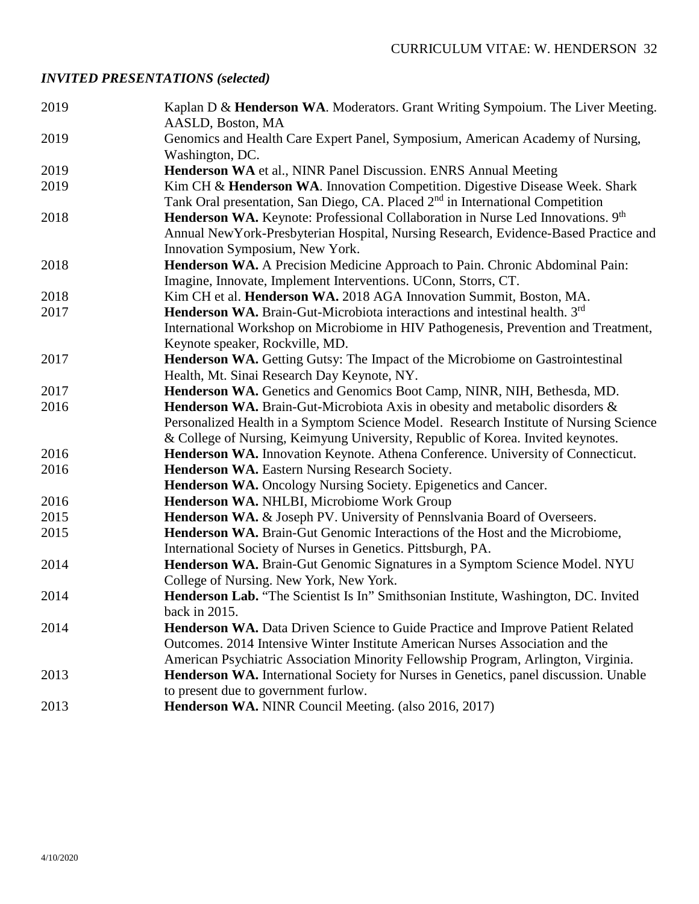# *INVITED PRESENTATIONS (selected)*

| 2019 | Kaplan D & Henderson WA. Moderators. Grant Writing Sympoium. The Liver Meeting.<br>AASLD, Boston, MA |
|------|------------------------------------------------------------------------------------------------------|
| 2019 | Genomics and Health Care Expert Panel, Symposium, American Academy of Nursing,<br>Washington, DC.    |
| 2019 | Henderson WA et al., NINR Panel Discussion. ENRS Annual Meeting                                      |
| 2019 | Kim CH & Henderson WA. Innovation Competition. Digestive Disease Week. Shark                         |
|      | Tank Oral presentation, San Diego, CA. Placed 2 <sup>nd</sup> in International Competition           |
| 2018 | <b>Henderson WA.</b> Keynote: Professional Collaboration in Nurse Led Innovations. 9 <sup>th</sup>   |
|      | Annual New York-Presbyterian Hospital, Nursing Research, Evidence-Based Practice and                 |
|      | Innovation Symposium, New York.                                                                      |
| 2018 | Henderson WA. A Precision Medicine Approach to Pain. Chronic Abdominal Pain:                         |
|      | Imagine, Innovate, Implement Interventions. UConn, Storrs, CT.                                       |
| 2018 | Kim CH et al. Henderson WA. 2018 AGA Innovation Summit, Boston, MA.                                  |
| 2017 | <b>Henderson WA.</b> Brain-Gut-Microbiota interactions and intestinal health. 3 <sup>rd</sup>        |
|      | International Workshop on Microbiome in HIV Pathogenesis, Prevention and Treatment,                  |
|      | Keynote speaker, Rockville, MD.                                                                      |
| 2017 | <b>Henderson WA.</b> Getting Gutsy: The Impact of the Microbiome on Gastrointestinal                 |
|      | Health, Mt. Sinai Research Day Keynote, NY.                                                          |
| 2017 | Henderson WA. Genetics and Genomics Boot Camp, NINR, NIH, Bethesda, MD.                              |
| 2016 | Henderson WA. Brain-Gut-Microbiota Axis in obesity and metabolic disorders &                         |
|      | Personalized Health in a Symptom Science Model. Research Institute of Nursing Science                |
|      | & College of Nursing, Keimyung University, Republic of Korea. Invited keynotes.                      |
| 2016 | Henderson WA. Innovation Keynote. Athena Conference. University of Connecticut.                      |
| 2016 | Henderson WA. Eastern Nursing Research Society.                                                      |
|      | Henderson WA. Oncology Nursing Society. Epigenetics and Cancer.                                      |
| 2016 | Henderson WA. NHLBI, Microbiome Work Group                                                           |
| 2015 | Henderson WA. & Joseph PV. University of Pennslvania Board of Overseers.                             |
| 2015 | <b>Henderson WA.</b> Brain-Gut Genomic Interactions of the Host and the Microbiome,                  |
|      | International Society of Nurses in Genetics. Pittsburgh, PA.                                         |
| 2014 | Henderson WA. Brain-Gut Genomic Signatures in a Symptom Science Model. NYU                           |
|      | College of Nursing. New York, New York.                                                              |
| 2014 | Henderson Lab. "The Scientist Is In" Smithsonian Institute, Washington, DC. Invited                  |
|      | back in 2015.                                                                                        |
| 2014 | <b>Henderson WA.</b> Data Driven Science to Guide Practice and Improve Patient Related               |
|      | Outcomes. 2014 Intensive Winter Institute American Nurses Association and the                        |
|      | American Psychiatric Association Minority Fellowship Program, Arlington, Virginia.                   |
| 2013 | Henderson WA. International Society for Nurses in Genetics, panel discussion. Unable                 |
|      | to present due to government furlow.                                                                 |
| 2013 | Henderson WA. NINR Council Meeting. (also 2016, 2017)                                                |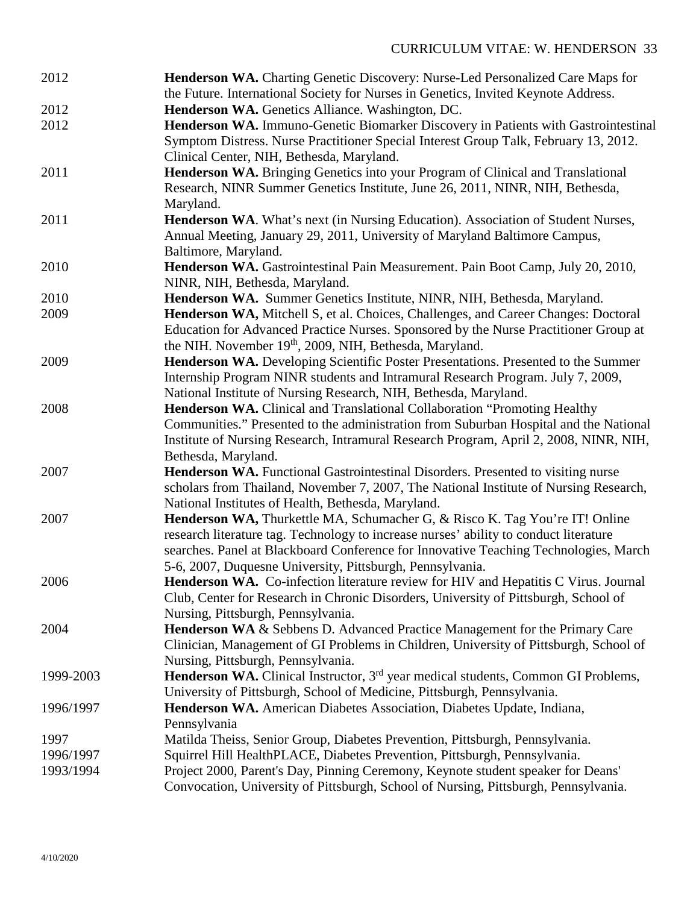| 2012      | Henderson WA. Charting Genetic Discovery: Nurse-Led Personalized Care Maps for<br>the Future. International Society for Nurses in Genetics, Invited Keynote Address. |
|-----------|----------------------------------------------------------------------------------------------------------------------------------------------------------------------|
| 2012      | Henderson WA. Genetics Alliance. Washington, DC.                                                                                                                     |
| 2012      | Henderson WA. Immuno-Genetic Biomarker Discovery in Patients with Gastrointestinal                                                                                   |
|           | Symptom Distress. Nurse Practitioner Special Interest Group Talk, February 13, 2012.                                                                                 |
|           | Clinical Center, NIH, Bethesda, Maryland.                                                                                                                            |
| 2011      | Henderson WA. Bringing Genetics into your Program of Clinical and Translational                                                                                      |
|           | Research, NINR Summer Genetics Institute, June 26, 2011, NINR, NIH, Bethesda,                                                                                        |
|           | Maryland.                                                                                                                                                            |
| 2011      | Henderson WA. What's next (in Nursing Education). Association of Student Nurses,                                                                                     |
|           | Annual Meeting, January 29, 2011, University of Maryland Baltimore Campus,                                                                                           |
|           | Baltimore, Maryland.                                                                                                                                                 |
| 2010      | Henderson WA. Gastrointestinal Pain Measurement. Pain Boot Camp, July 20, 2010,                                                                                      |
|           | NINR, NIH, Bethesda, Maryland.                                                                                                                                       |
| 2010      | Henderson WA. Summer Genetics Institute, NINR, NIH, Bethesda, Maryland.                                                                                              |
| 2009      | Henderson WA, Mitchell S, et al. Choices, Challenges, and Career Changes: Doctoral                                                                                   |
|           | Education for Advanced Practice Nurses. Sponsored by the Nurse Practitioner Group at                                                                                 |
|           | the NIH. November 19 <sup>th</sup> , 2009, NIH, Bethesda, Maryland.                                                                                                  |
| 2009      | Henderson WA. Developing Scientific Poster Presentations. Presented to the Summer                                                                                    |
|           | Internship Program NINR students and Intramural Research Program. July 7, 2009,                                                                                      |
|           | National Institute of Nursing Research, NIH, Bethesda, Maryland.                                                                                                     |
| 2008      | <b>Henderson WA.</b> Clinical and Translational Collaboration "Promoting Healthy"                                                                                    |
|           | Communities." Presented to the administration from Suburban Hospital and the National                                                                                |
|           | Institute of Nursing Research, Intramural Research Program, April 2, 2008, NINR, NIH,                                                                                |
|           | Bethesda, Maryland.                                                                                                                                                  |
| 2007      | <b>Henderson WA.</b> Functional Gastrointestinal Disorders. Presented to visiting nurse                                                                              |
|           | scholars from Thailand, November 7, 2007, The National Institute of Nursing Research,                                                                                |
| 2007      | National Institutes of Health, Bethesda, Maryland.<br>Henderson WA, Thurkettle MA, Schumacher G, & Risco K. Tag You're IT! Online                                    |
|           | research literature tag. Technology to increase nurses' ability to conduct literature                                                                                |
|           | searches. Panel at Blackboard Conference for Innovative Teaching Technologies, March                                                                                 |
|           | 5-6, 2007, Duquesne University, Pittsburgh, Pennsylvania.                                                                                                            |
| 2006      | Henderson WA. Co-infection literature review for HIV and Hepatitis C Virus. Journal                                                                                  |
|           | Club, Center for Research in Chronic Disorders, University of Pittsburgh, School of                                                                                  |
|           | Nursing, Pittsburgh, Pennsylvania.                                                                                                                                   |
| 2004      | <b>Henderson WA &amp; Sebbens D. Advanced Practice Management for the Primary Care</b>                                                                               |
|           | Clinician, Management of GI Problems in Children, University of Pittsburgh, School of                                                                                |
|           | Nursing, Pittsburgh, Pennsylvania.                                                                                                                                   |
| 1999-2003 | Henderson WA. Clinical Instructor, 3 <sup>rd</sup> year medical students, Common GI Problems,                                                                        |
|           | University of Pittsburgh, School of Medicine, Pittsburgh, Pennsylvania.                                                                                              |
| 1996/1997 | Henderson WA. American Diabetes Association, Diabetes Update, Indiana,                                                                                               |
|           | Pennsylvania                                                                                                                                                         |
| 1997      | Matilda Theiss, Senior Group, Diabetes Prevention, Pittsburgh, Pennsylvania.                                                                                         |
| 1996/1997 | Squirrel Hill HealthPLACE, Diabetes Prevention, Pittsburgh, Pennsylvania.                                                                                            |
| 1993/1994 | Project 2000, Parent's Day, Pinning Ceremony, Keynote student speaker for Deans'                                                                                     |
|           | Convocation, University of Pittsburgh, School of Nursing, Pittsburgh, Pennsylvania.                                                                                  |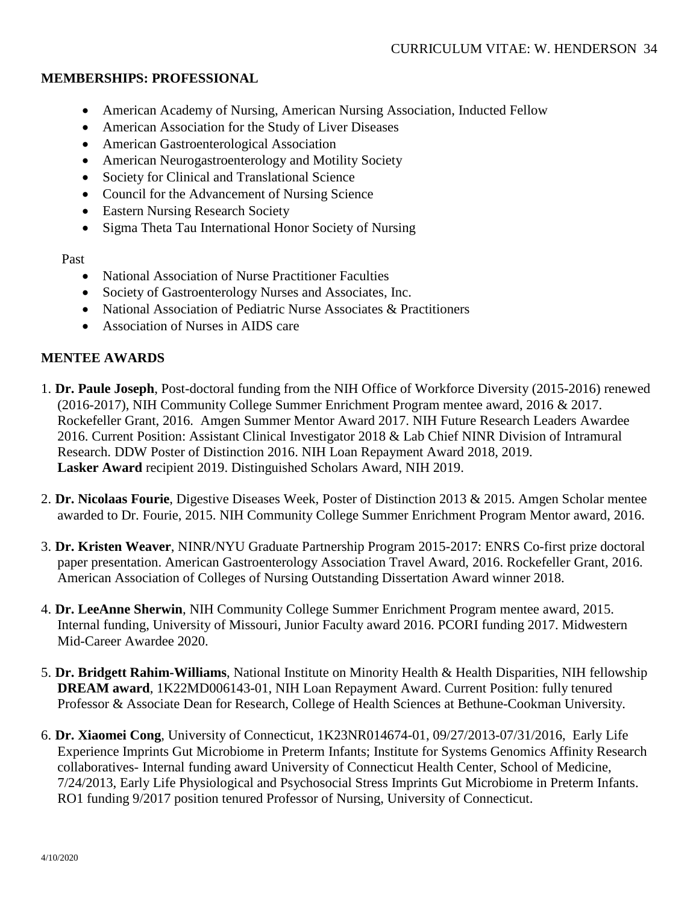### **MEMBERSHIPS: PROFESSIONAL**

- American Academy of Nursing, American Nursing Association, Inducted Fellow
- American Association for the Study of Liver Diseases
- American Gastroenterological Association
- American Neurogastroenterology and Motility Society
- Society for Clinical and Translational Science
- Council for the Advancement of Nursing Science
- Eastern Nursing Research Society
- Sigma Theta Tau International Honor Society of Nursing

Past

- National Association of Nurse Practitioner Faculties
- Society of Gastroenterology Nurses and Associates, Inc.
- National Association of Pediatric Nurse Associates & Practitioners
- Association of Nurses in AIDS care

### **MENTEE AWARDS**

- 1. **Dr. Paule Joseph**, Post-doctoral funding from the NIH Office of Workforce Diversity (2015-2016) renewed (2016-2017), NIH Community College Summer Enrichment Program mentee award, 2016 & 2017. Rockefeller Grant, 2016. Amgen Summer Mentor Award 2017. NIH Future Research Leaders Awardee 2016. Current Position: Assistant Clinical Investigator 2018 & Lab Chief NINR Division of Intramural Research. DDW Poster of Distinction 2016. NIH Loan Repayment Award 2018, 2019. **Lasker Award** recipient 2019. Distinguished Scholars Award, NIH 2019.
- 2. **Dr. Nicolaas Fourie**, Digestive Diseases Week, Poster of Distinction 2013 & 2015. Amgen Scholar mentee awarded to Dr. Fourie, 2015. NIH Community College Summer Enrichment Program Mentor award, 2016.
- 3. **Dr. Kristen Weaver**, NINR/NYU Graduate Partnership Program 2015-2017: ENRS Co-first prize doctoral paper presentation. American Gastroenterology Association Travel Award, 2016. Rockefeller Grant, 2016. American Association of Colleges of Nursing Outstanding Dissertation Award winner 2018.
- 4. **Dr. LeeAnne Sherwin**, NIH Community College Summer Enrichment Program mentee award, 2015. Internal funding, University of Missouri, Junior Faculty award 2016. PCORI funding 2017. Midwestern Mid-Career Awardee 2020.
- 5. **Dr. Bridgett Rahim-Williams**, National Institute on Minority Health & Health Disparities, NIH fellowship **DREAM award**, 1K22MD006143-01, NIH Loan Repayment Award. Current Position: fully tenured Professor & Associate Dean for Research, College of Health Sciences at Bethune-Cookman University.
- 6. **Dr. Xiaomei Cong**, University of Connecticut, 1K23NR014674-01, 09/27/2013-07/31/2016, Early Life Experience Imprints Gut Microbiome in Preterm Infants; Institute for Systems Genomics Affinity Research collaboratives- Internal funding award University of Connecticut Health Center, School of Medicine, 7/24/2013, Early Life Physiological and Psychosocial Stress Imprints Gut Microbiome in Preterm Infants. RO1 funding 9/2017 position tenured Professor of Nursing, University of Connecticut.